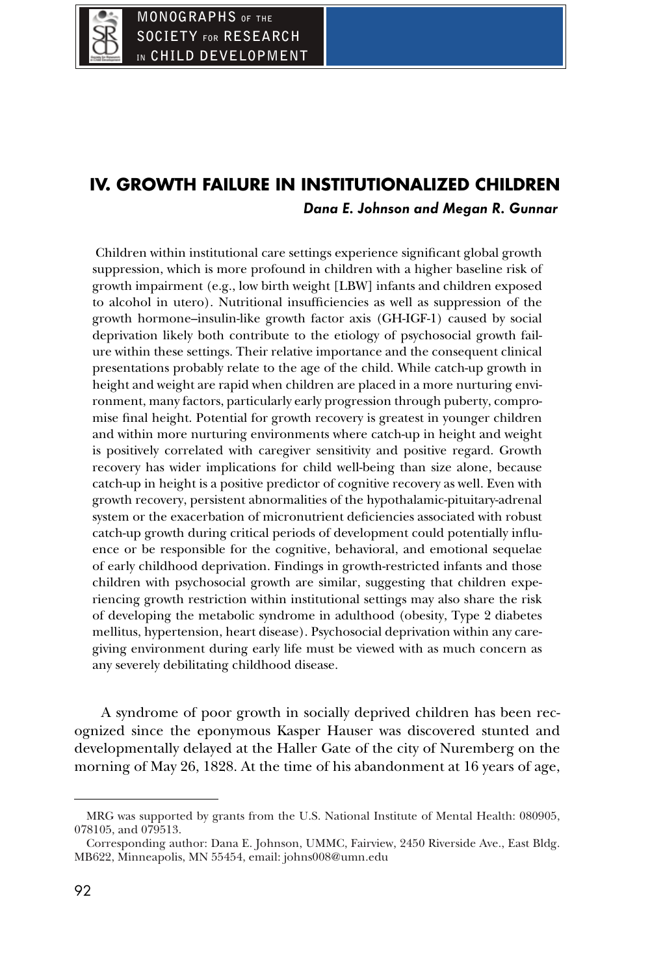# **IV. GROWTH FAILURE IN INSTITUTIONALIZED CHILDREN Dana E. Johnson and Megan R. Gunnar**

Children within institutional care settings experience significant global growth suppression, which is more profound in children with a higher baseline risk of growth impairment (e.g., low birth weight [LBW] infants and children exposed to alcohol in utero). Nutritional insufficiencies as well as suppression of the growth hormone–insulin-like growth factor axis (GH-IGF-1) caused by social deprivation likely both contribute to the etiology of psychosocial growth failure within these settings. Their relative importance and the consequent clinical presentations probably relate to the age of the child. While catch-up growth in height and weight are rapid when children are placed in a more nurturing environment, many factors, particularly early progression through puberty, compromise final height. Potential for growth recovery is greatest in younger children and within more nurturing environments where catch-up in height and weight is positively correlated with caregiver sensitivity and positive regard. Growth recovery has wider implications for child well-being than size alone, because catch-up in height is a positive predictor of cognitive recovery as well. Even with growth recovery, persistent abnormalities of the hypothalamic-pituitary-adrenal system or the exacerbation of micronutrient deficiencies associated with robust catch-up growth during critical periods of development could potentially influence or be responsible for the cognitive, behavioral, and emotional sequelae of early childhood deprivation. Findings in growth-restricted infants and those children with psychosocial growth are similar, suggesting that children experiencing growth restriction within institutional settings may also share the risk of developing the metabolic syndrome in adulthood (obesity, Type 2 diabetes mellitus, hypertension, heart disease). Psychosocial deprivation within any caregiving environment during early life must be viewed with as much concern as any severely debilitating childhood disease.

A syndrome of poor growth in socially deprived children has been recognized since the eponymous Kasper Hauser was discovered stunted and developmentally delayed at the Haller Gate of the city of Nuremberg on the morning of May 26, 1828. At the time of his abandonment at 16 years of age,

MRG was supported by grants from the U.S. National Institute of Mental Health: 080905, 078105, and 079513.

Corresponding author: Dana E. Johnson, UMMC, Fairview, 2450 Riverside Ave., East Bldg. MB622, Minneapolis, MN 55454, email: johns008@umn.edu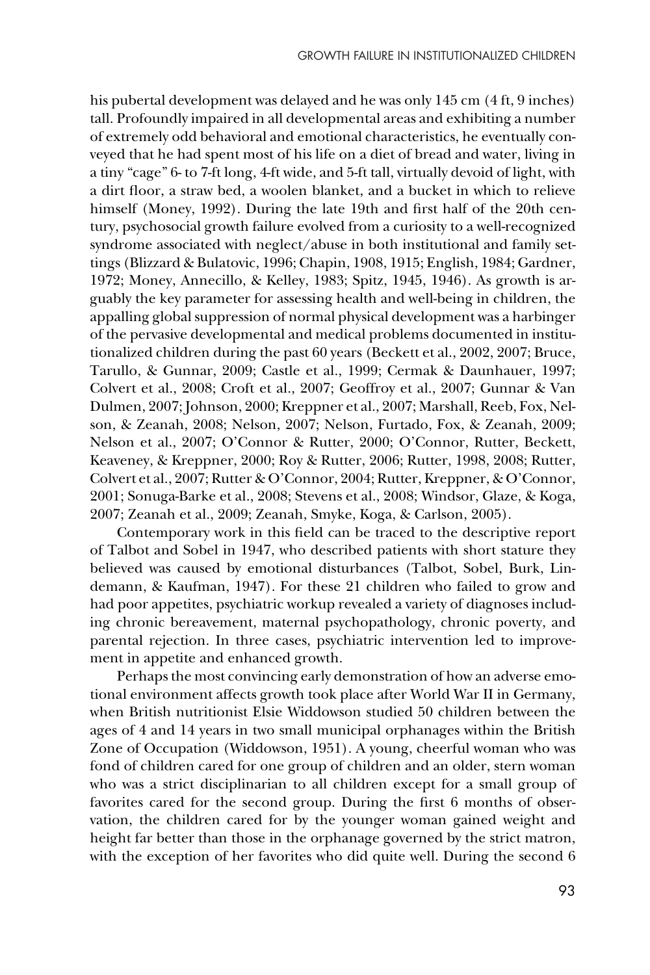his pubertal development was delayed and he was only 145 cm (4 ft, 9 inches) tall. Profoundly impaired in all developmental areas and exhibiting a number of extremely odd behavioral and emotional characteristics, he eventually conveyed that he had spent most of his life on a diet of bread and water, living in a tiny "cage" 6- to 7-ft long, 4-ft wide, and 5-ft tall, virtually devoid of light, with a dirt floor, a straw bed, a woolen blanket, and a bucket in which to relieve himself (Money, 1992). During the late 19th and first half of the 20th century, psychosocial growth failure evolved from a curiosity to a well-recognized syndrome associated with neglect/abuse in both institutional and family settings (Blizzard & Bulatovic, 1996; Chapin, 1908, 1915; English, 1984; Gardner, 1972; Money, Annecillo, & Kelley, 1983; Spitz, 1945, 1946). As growth is arguably the key parameter for assessing health and well-being in children, the appalling global suppression of normal physical development was a harbinger of the pervasive developmental and medical problems documented in institutionalized children during the past 60 years (Beckett et al., 2002, 2007; Bruce, Tarullo, & Gunnar, 2009; Castle et al., 1999; Cermak & Daunhauer, 1997; Colvert et al., 2008; Croft et al., 2007; Geoffroy et al., 2007; Gunnar & Van Dulmen, 2007; Johnson, 2000; Kreppner et al., 2007; Marshall, Reeb, Fox, Nelson, & Zeanah, 2008; Nelson, 2007; Nelson, Furtado, Fox, & Zeanah, 2009; Nelson et al., 2007; O'Connor & Rutter, 2000; O'Connor, Rutter, Beckett, Keaveney, & Kreppner, 2000; Roy & Rutter, 2006; Rutter, 1998, 2008; Rutter, Colvert et al., 2007; Rutter & O'Connor, 2004; Rutter, Kreppner, & O'Connor, 2001; Sonuga-Barke et al., 2008; Stevens et al., 2008; Windsor, Glaze, & Koga, 2007; Zeanah et al., 2009; Zeanah, Smyke, Koga, & Carlson, 2005).

Contemporary work in this field can be traced to the descriptive report of Talbot and Sobel in 1947, who described patients with short stature they believed was caused by emotional disturbances (Talbot, Sobel, Burk, Lindemann, & Kaufman, 1947). For these 21 children who failed to grow and had poor appetites, psychiatric workup revealed a variety of diagnoses including chronic bereavement, maternal psychopathology, chronic poverty, and parental rejection. In three cases, psychiatric intervention led to improvement in appetite and enhanced growth.

Perhaps the most convincing early demonstration of how an adverse emotional environment affects growth took place after World War II in Germany, when British nutritionist Elsie Widdowson studied 50 children between the ages of 4 and 14 years in two small municipal orphanages within the British Zone of Occupation (Widdowson, 1951). A young, cheerful woman who was fond of children cared for one group of children and an older, stern woman who was a strict disciplinarian to all children except for a small group of favorites cared for the second group. During the first 6 months of observation, the children cared for by the younger woman gained weight and height far better than those in the orphanage governed by the strict matron, with the exception of her favorites who did quite well. During the second 6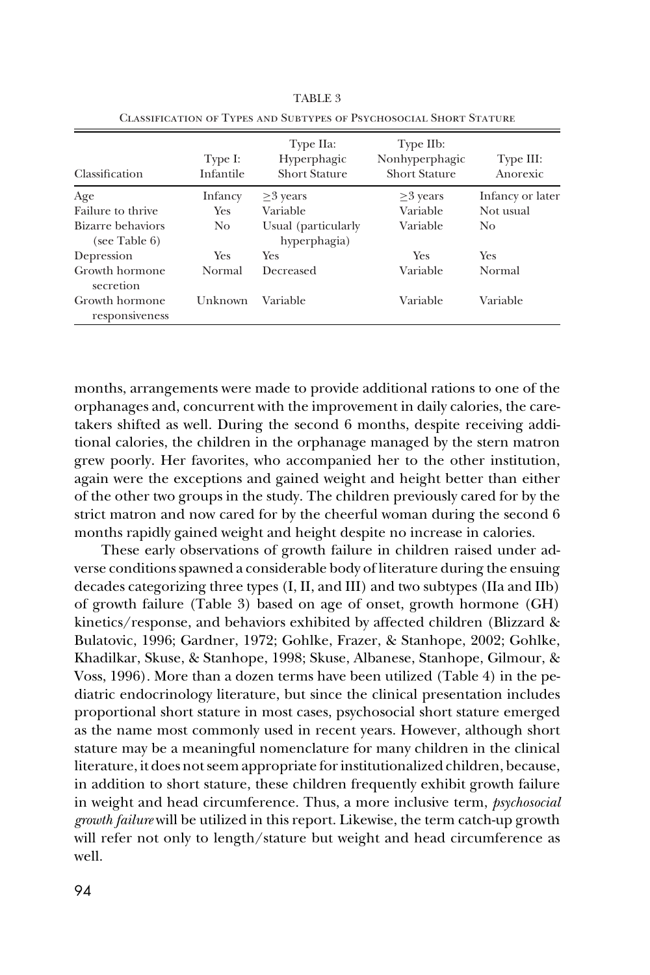| Classification                     | Type I:<br>Infantile | Type IIa:<br>Hyperphagic<br><b>Short Stature</b> | Type IIb:<br>Nonhyperphagic<br><b>Short Stature</b> | Type III:<br>Anorexic |
|------------------------------------|----------------------|--------------------------------------------------|-----------------------------------------------------|-----------------------|
| Age                                | Infancy              | $\geq$ 3 years                                   | $\geq$ 3 years                                      | Infancy or later      |
| Failure to thrive                  | <b>Yes</b>           | Variable                                         | Variable                                            | Not usual             |
| Bizarre behaviors<br>(see Table 6) | No.                  | Usual (particularly<br>hyperphagia)              | Variable                                            | No.                   |
| Depression                         | <b>Yes</b>           | Yes                                              | Yes                                                 | Yes                   |
| Growth hormone<br>secretion        | Normal               | Decreased                                        | Variable                                            | Normal                |
| Growth hormone<br>responsiveness   | Unknown              | Variable                                         | Variable                                            | Variable              |

TABLE 3 Classification of Types and Subtypes of Psychosocial Short Stature

months, arrangements were made to provide additional rations to one of the orphanages and, concurrent with the improvement in daily calories, the caretakers shifted as well. During the second 6 months, despite receiving additional calories, the children in the orphanage managed by the stern matron grew poorly. Her favorites, who accompanied her to the other institution, again were the exceptions and gained weight and height better than either of the other two groups in the study. The children previously cared for by the strict matron and now cared for by the cheerful woman during the second 6 months rapidly gained weight and height despite no increase in calories.

These early observations of growth failure in children raised under adverse conditions spawned a considerable body of literature during the ensuing decades categorizing three types (I, II, and III) and two subtypes (IIa and IIb) of growth failure (Table 3) based on age of onset, growth hormone (GH) kinetics/response, and behaviors exhibited by affected children (Blizzard & Bulatovic, 1996; Gardner, 1972; Gohlke, Frazer, & Stanhope, 2002; Gohlke, Khadilkar, Skuse, & Stanhope, 1998; Skuse, Albanese, Stanhope, Gilmour, & Voss, 1996). More than a dozen terms have been utilized (Table 4) in the pediatric endocrinology literature, but since the clinical presentation includes proportional short stature in most cases, psychosocial short stature emerged as the name most commonly used in recent years. However, although short stature may be a meaningful nomenclature for many children in the clinical literature, it does not seem appropriate for institutionalized children, because, in addition to short stature, these children frequently exhibit growth failure in weight and head circumference. Thus, a more inclusive term, *psychosocial growth failure* will be utilized in this report. Likewise, the term catch-up growth will refer not only to length/stature but weight and head circumference as well.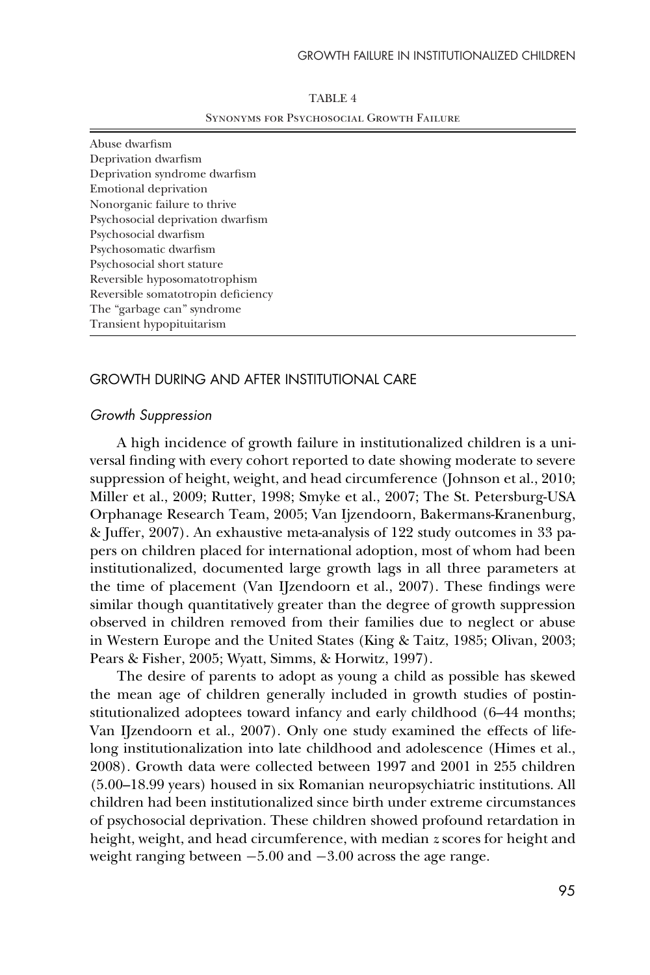| TABLE 4                                         |
|-------------------------------------------------|
| <b>SYNONYMS FOR PSYCHOSOCIAL GROWTH FAILURE</b> |

Abuse dwarfism Deprivation dwarfism Deprivation syndrome dwarfism Emotional deprivation Nonorganic failure to thrive Psychosocial deprivation dwarfism Psychosocial dwarfism Psychosomatic dwarfism Psychosocial short stature Reversible hyposomatotrophism Reversible somatotropin deficiency The "garbage can" syndrome Transient hypopituitarism

## GROWTH DURING AND AFTER INSTITUTIONAL CARE

#### *Growth Suppression*

A high incidence of growth failure in institutionalized children is a universal finding with every cohort reported to date showing moderate to severe suppression of height, weight, and head circumference (Johnson et al., 2010; Miller et al., 2009; Rutter, 1998; Smyke et al., 2007; The St. Petersburg-USA Orphanage Research Team, 2005; Van Ijzendoorn, Bakermans-Kranenburg, & Juffer, 2007). An exhaustive meta-analysis of 122 study outcomes in 33 papers on children placed for international adoption, most of whom had been institutionalized, documented large growth lags in all three parameters at the time of placement (Van IJzendoorn et al., 2007). These findings were similar though quantitatively greater than the degree of growth suppression observed in children removed from their families due to neglect or abuse in Western Europe and the United States (King & Taitz, 1985; Olivan, 2003; Pears & Fisher, 2005; Wyatt, Simms, & Horwitz, 1997).

The desire of parents to adopt as young a child as possible has skewed the mean age of children generally included in growth studies of postinstitutionalized adoptees toward infancy and early childhood (6–44 months; Van IJzendoorn et al., 2007). Only one study examined the effects of lifelong institutionalization into late childhood and adolescence (Himes et al., 2008). Growth data were collected between 1997 and 2001 in 255 children (5.00–18.99 years) housed in six Romanian neuropsychiatric institutions. All children had been institutionalized since birth under extreme circumstances of psychosocial deprivation. These children showed profound retardation in height, weight, and head circumference, with median *z* scores for height and weight ranging between −5.00 and −3.00 across the age range.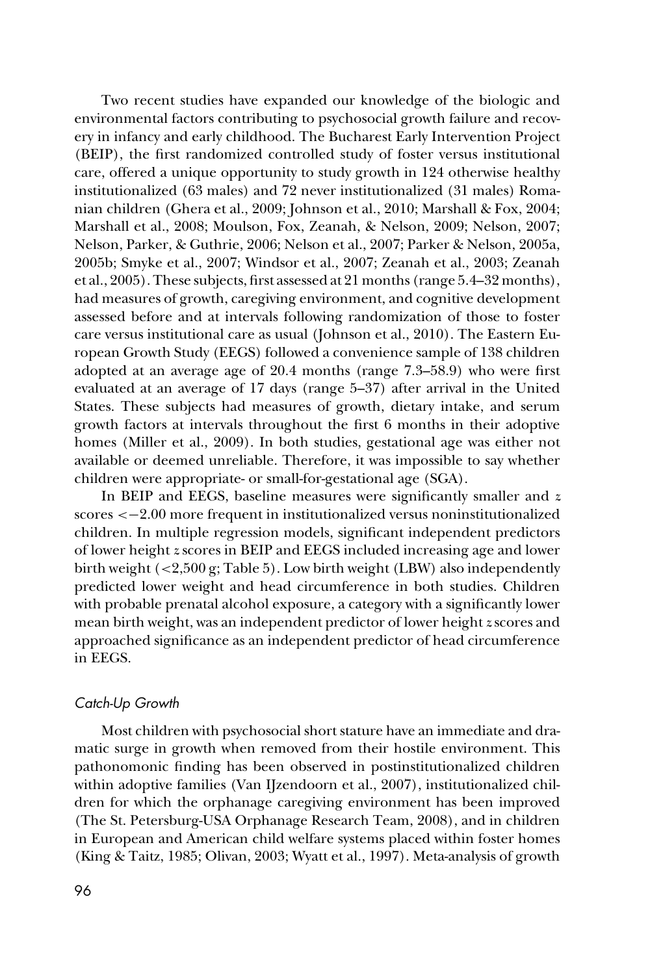Two recent studies have expanded our knowledge of the biologic and environmental factors contributing to psychosocial growth failure and recovery in infancy and early childhood. The Bucharest Early Intervention Project (BEIP), the first randomized controlled study of foster versus institutional care, offered a unique opportunity to study growth in 124 otherwise healthy institutionalized (63 males) and 72 never institutionalized (31 males) Romanian children (Ghera et al., 2009; Johnson et al., 2010; Marshall & Fox, 2004; Marshall et al., 2008; Moulson, Fox, Zeanah, & Nelson, 2009; Nelson, 2007; Nelson, Parker, & Guthrie, 2006; Nelson et al., 2007; Parker & Nelson, 2005a, 2005b; Smyke et al., 2007; Windsor et al., 2007; Zeanah et al., 2003; Zeanah et al., 2005). These subjects, first assessed at 21 months (range 5.4–32 months), had measures of growth, caregiving environment, and cognitive development assessed before and at intervals following randomization of those to foster care versus institutional care as usual (Johnson et al., 2010). The Eastern European Growth Study (EEGS) followed a convenience sample of 138 children adopted at an average age of 20.4 months (range 7.3–58.9) who were first evaluated at an average of 17 days (range 5–37) after arrival in the United States. These subjects had measures of growth, dietary intake, and serum growth factors at intervals throughout the first 6 months in their adoptive homes (Miller et al., 2009). In both studies, gestational age was either not available or deemed unreliable. Therefore, it was impossible to say whether children were appropriate- or small-for-gestational age (SGA).

In BEIP and EEGS, baseline measures were significantly smaller and *z* scores <−2.00 more frequent in institutionalized versus noninstitutionalized children. In multiple regression models, significant independent predictors of lower height *z* scores in BEIP and EEGS included increasing age and lower birth weight (<2,500 g; Table 5). Low birth weight (LBW) also independently predicted lower weight and head circumference in both studies. Children with probable prenatal alcohol exposure, a category with a significantly lower mean birth weight, was an independent predictor of lower height *z* scores and approached significance as an independent predictor of head circumference in EEGS.

## *Catch-Up Growth*

Most children with psychosocial short stature have an immediate and dramatic surge in growth when removed from their hostile environment. This pathonomonic finding has been observed in postinstitutionalized children within adoptive families (Van IJzendoorn et al., 2007), institutionalized children for which the orphanage caregiving environment has been improved (The St. Petersburg-USA Orphanage Research Team, 2008), and in children in European and American child welfare systems placed within foster homes (King & Taitz, 1985; Olivan, 2003; Wyatt et al., 1997). Meta-analysis of growth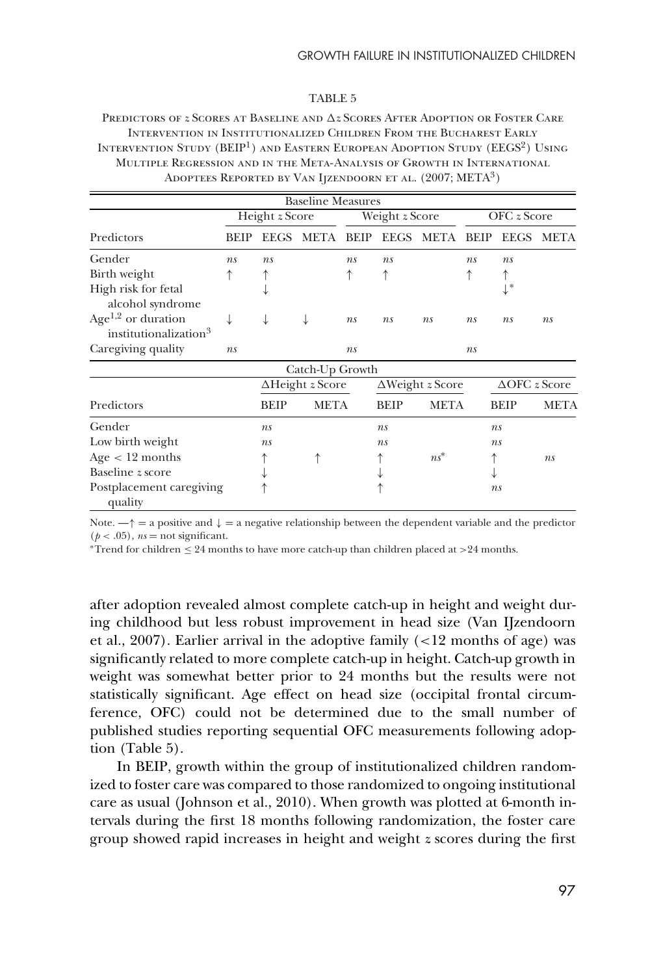#### TABLE 5

Predictors of  $z$  Scores at Baseline and  $\Delta z$  Scores After Adoption or Foster Care Intervention in Institutionalized Children From the Bucharest Early INTERVENTION STUDY (BEIP<sup>1</sup>) AND EASTERN EUROPEAN ADOPTION STUDY (EEGS<sup>2</sup>) USING Multiple Regression and in the Meta-Analysis of Growth in International Adoptees Reported by Van Ijzendoorn et al. (2007; META3)

|                                     |                       |                         | <b>Baseline Measures</b> |                |                         |             |             |                         |             |
|-------------------------------------|-----------------------|-------------------------|--------------------------|----------------|-------------------------|-------------|-------------|-------------------------|-------------|
|                                     | Height <i>z</i> Score |                         |                          | Weight z Score |                         | OFC z Score |             |                         |             |
| Predictors                          | <b>BEIP</b>           | <b>EEGS</b>             | META                     | <b>BEIP</b>    | <b>EEGS</b>             | META        | <b>BEIP</b> | <b>EEGS</b>             | <b>META</b> |
| Gender                              | ns                    | ns                      |                          | ns             | ns                      |             | ns          | ns                      |             |
| Birth weight                        |                       |                         |                          |                |                         |             | ↑           |                         |             |
| High risk for fetal                 |                       |                         |                          |                |                         |             |             | $\downarrow^*$          |             |
| alcohol syndrome                    |                       |                         |                          |                |                         |             |             |                         |             |
| Age <sup>1,2</sup> or duration      | ↓                     |                         |                          | ns             | ns                      | ns          | ns          | ns                      | ns          |
| institutionalization <sup>3</sup>   |                       |                         |                          |                |                         |             |             |                         |             |
| Caregiving quality                  | ns                    |                         |                          | ns             |                         |             | ns          |                         |             |
|                                     |                       |                         | Catch-Up Growth          |                |                         |             |             |                         |             |
|                                     |                       | $\Delta$ Height z Score |                          |                | $\Delta$ Weight z Score |             |             | $\triangle$ OFC z Score |             |
| Predictors                          |                       | <b>BEIP</b>             | <b>META</b>              |                | <b>BEIP</b>             | <b>META</b> |             | <b>BEIP</b>             | <b>META</b> |
| Gender                              |                       | ns                      |                          |                | ns                      |             |             | ns                      |             |
| Low birth weight                    |                       | ns                      |                          |                | ns                      |             |             | ns                      |             |
| $Age < 12$ months                   |                       |                         |                          |                | ↑                       | $ns^*$      |             |                         | ns          |
| Baseline z score                    |                       |                         |                          |                |                         |             |             |                         |             |
| Postplacement caregiving<br>quality |                       |                         |                          |                |                         |             |             | ns                      |             |

Note.  $-\uparrow$  = a positive and  $\downarrow$  = a negative relationship between the dependent variable and the predictor  $(p < .05)$ ,  $ns = not significant$ .

\*Trend for children  $\leq 24$  months to have more catch-up than children placed at  $>24$  months.

after adoption revealed almost complete catch-up in height and weight during childhood but less robust improvement in head size (Van IJzendoorn et al., 2007). Earlier arrival in the adoptive family (<12 months of age) was significantly related to more complete catch-up in height. Catch-up growth in weight was somewhat better prior to 24 months but the results were not statistically significant. Age effect on head size (occipital frontal circumference, OFC) could not be determined due to the small number of published studies reporting sequential OFC measurements following adoption (Table 5).

In BEIP, growth within the group of institutionalized children randomized to foster care was compared to those randomized to ongoing institutional care as usual (Johnson et al., 2010). When growth was plotted at 6-month intervals during the first 18 months following randomization, the foster care group showed rapid increases in height and weight *z* scores during the first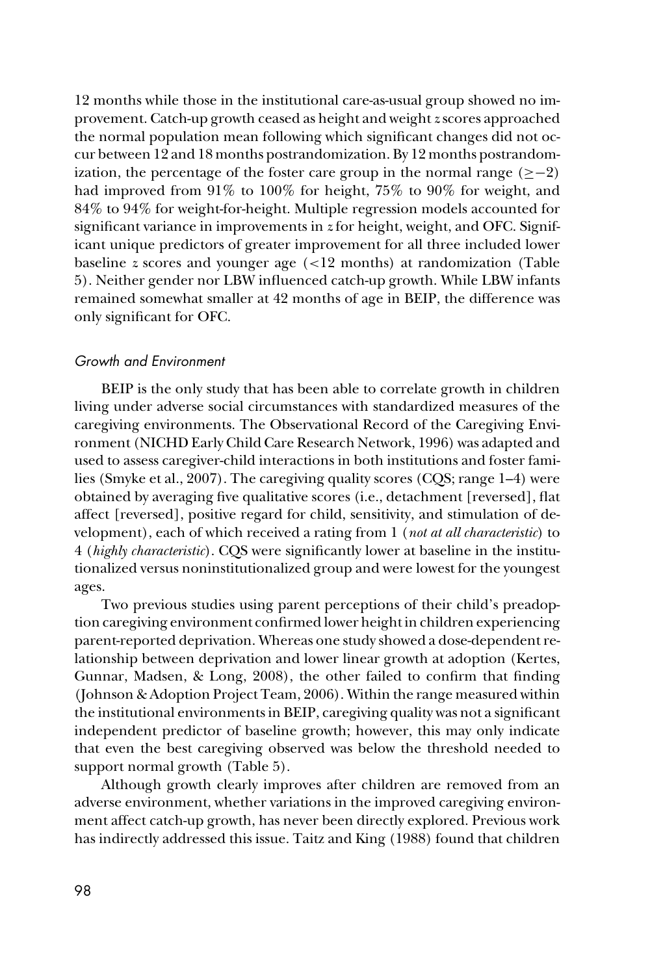12 months while those in the institutional care-as-usual group showed no improvement. Catch-up growth ceased as height and weight *z* scores approached the normal population mean following which significant changes did not occur between 12 and 18 months postrandomization. By 12 months postrandomization, the percentage of the foster care group in the normal range  $(≥-2)$ had improved from 91% to 100% for height, 75% to 90% for weight, and 84% to 94% for weight-for-height. Multiple regression models accounted for significant variance in improvements in *z* for height, weight, and OFC. Significant unique predictors of greater improvement for all three included lower baseline *z* scores and younger age (<12 months) at randomization (Table 5). Neither gender nor LBW influenced catch-up growth. While LBW infants remained somewhat smaller at 42 months of age in BEIP, the difference was only significant for OFC.

## *Growth and Environment*

BEIP is the only study that has been able to correlate growth in children living under adverse social circumstances with standardized measures of the caregiving environments. The Observational Record of the Caregiving Environment (NICHD Early Child Care Research Network, 1996) was adapted and used to assess caregiver-child interactions in both institutions and foster families (Smyke et al., 2007). The caregiving quality scores (CQS; range 1–4) were obtained by averaging five qualitative scores (i.e., detachment [reversed], flat affect [reversed], positive regard for child, sensitivity, and stimulation of development), each of which received a rating from 1 (*not at all characteristic*) to 4 (*highly characteristic*). CQS were significantly lower at baseline in the institutionalized versus noninstitutionalized group and were lowest for the youngest ages.

Two previous studies using parent perceptions of their child's preadoption caregiving environment confirmed lower height in children experiencing parent-reported deprivation. Whereas one study showed a dose-dependent relationship between deprivation and lower linear growth at adoption (Kertes, Gunnar, Madsen, & Long, 2008), the other failed to confirm that finding (Johnson & Adoption Project Team, 2006). Within the range measured within the institutional environments in BEIP, caregiving quality was not a significant independent predictor of baseline growth; however, this may only indicate that even the best caregiving observed was below the threshold needed to support normal growth (Table 5).

Although growth clearly improves after children are removed from an adverse environment, whether variations in the improved caregiving environment affect catch-up growth, has never been directly explored. Previous work has indirectly addressed this issue. Taitz and King (1988) found that children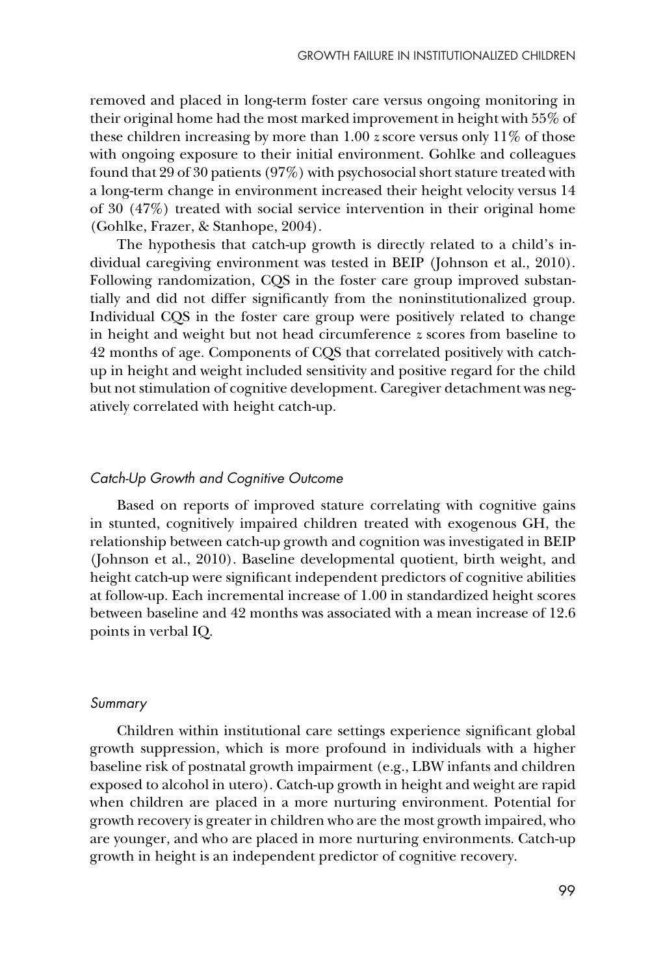removed and placed in long-term foster care versus ongoing monitoring in their original home had the most marked improvement in height with 55% of these children increasing by more than 1.00 *z* score versus only 11% of those with ongoing exposure to their initial environment. Gohlke and colleagues found that 29 of 30 patients (97%) with psychosocial short stature treated with a long-term change in environment increased their height velocity versus 14 of 30 (47%) treated with social service intervention in their original home (Gohlke, Frazer, & Stanhope, 2004).

The hypothesis that catch-up growth is directly related to a child's individual caregiving environment was tested in BEIP (Johnson et al., 2010). Following randomization, CQS in the foster care group improved substantially and did not differ significantly from the noninstitutionalized group. Individual CQS in the foster care group were positively related to change in height and weight but not head circumference *z* scores from baseline to 42 months of age. Components of CQS that correlated positively with catchup in height and weight included sensitivity and positive regard for the child but not stimulation of cognitive development. Caregiver detachment was negatively correlated with height catch-up.

#### *Catch-Up Growth and Cognitive Outcome*

Based on reports of improved stature correlating with cognitive gains in stunted, cognitively impaired children treated with exogenous GH, the relationship between catch-up growth and cognition was investigated in BEIP (Johnson et al., 2010). Baseline developmental quotient, birth weight, and height catch-up were significant independent predictors of cognitive abilities at follow-up. Each incremental increase of 1.00 in standardized height scores between baseline and 42 months was associated with a mean increase of 12.6 points in verbal IQ.

#### *Summary*

Children within institutional care settings experience significant global growth suppression, which is more profound in individuals with a higher baseline risk of postnatal growth impairment (e.g., LBW infants and children exposed to alcohol in utero). Catch-up growth in height and weight are rapid when children are placed in a more nurturing environment. Potential for growth recovery is greater in children who are the most growth impaired, who are younger, and who are placed in more nurturing environments. Catch-up growth in height is an independent predictor of cognitive recovery.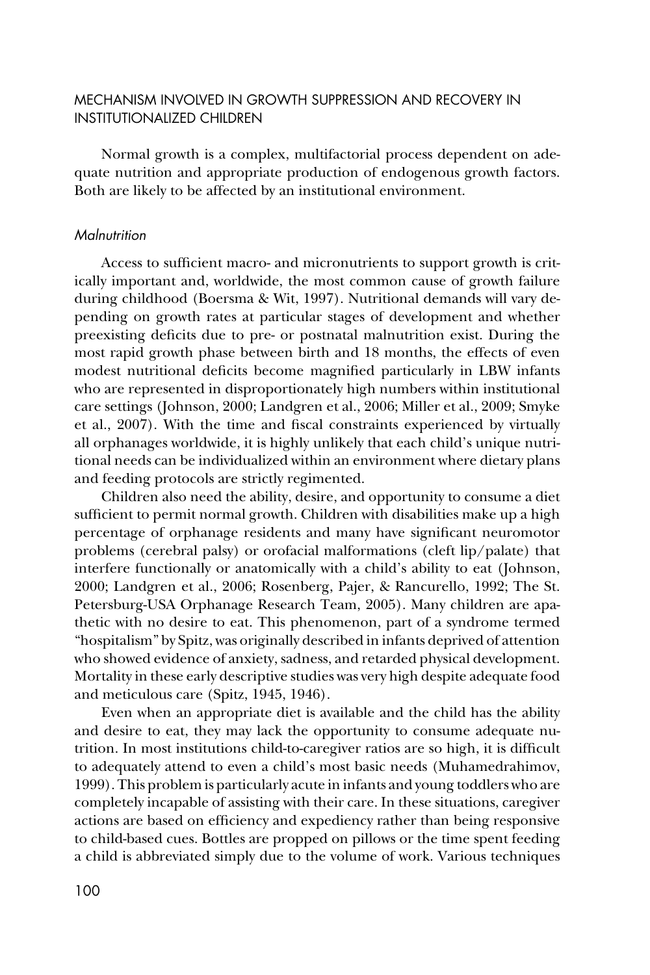## MECHANISM INVOLVED IN GROWTH SUPPRESSION AND RECOVERY IN INSTITUTIONALIZED CHILDREN

Normal growth is a complex, multifactorial process dependent on adequate nutrition and appropriate production of endogenous growth factors. Both are likely to be affected by an institutional environment.

## *Malnutrition*

Access to sufficient macro- and micronutrients to support growth is critically important and, worldwide, the most common cause of growth failure during childhood (Boersma & Wit, 1997). Nutritional demands will vary depending on growth rates at particular stages of development and whether preexisting deficits due to pre- or postnatal malnutrition exist. During the most rapid growth phase between birth and 18 months, the effects of even modest nutritional deficits become magnified particularly in LBW infants who are represented in disproportionately high numbers within institutional care settings (Johnson, 2000; Landgren et al., 2006; Miller et al., 2009; Smyke et al., 2007). With the time and fiscal constraints experienced by virtually all orphanages worldwide, it is highly unlikely that each child's unique nutritional needs can be individualized within an environment where dietary plans and feeding protocols are strictly regimented.

Children also need the ability, desire, and opportunity to consume a diet sufficient to permit normal growth. Children with disabilities make up a high percentage of orphanage residents and many have significant neuromotor problems (cerebral palsy) or orofacial malformations (cleft lip/palate) that interfere functionally or anatomically with a child's ability to eat (Johnson, 2000; Landgren et al., 2006; Rosenberg, Pajer, & Rancurello, 1992; The St. Petersburg-USA Orphanage Research Team, 2005). Many children are apathetic with no desire to eat. This phenomenon, part of a syndrome termed "hospitalism" by Spitz, was originally described in infants deprived of attention who showed evidence of anxiety, sadness, and retarded physical development. Mortality in these early descriptive studies was very high despite adequate food and meticulous care (Spitz, 1945, 1946).

Even when an appropriate diet is available and the child has the ability and desire to eat, they may lack the opportunity to consume adequate nutrition. In most institutions child-to-caregiver ratios are so high, it is difficult to adequately attend to even a child's most basic needs (Muhamedrahimov, 1999). This problem is particularly acute in infants and young toddlers who are completely incapable of assisting with their care. In these situations, caregiver actions are based on efficiency and expediency rather than being responsive to child-based cues. Bottles are propped on pillows or the time spent feeding a child is abbreviated simply due to the volume of work. Various techniques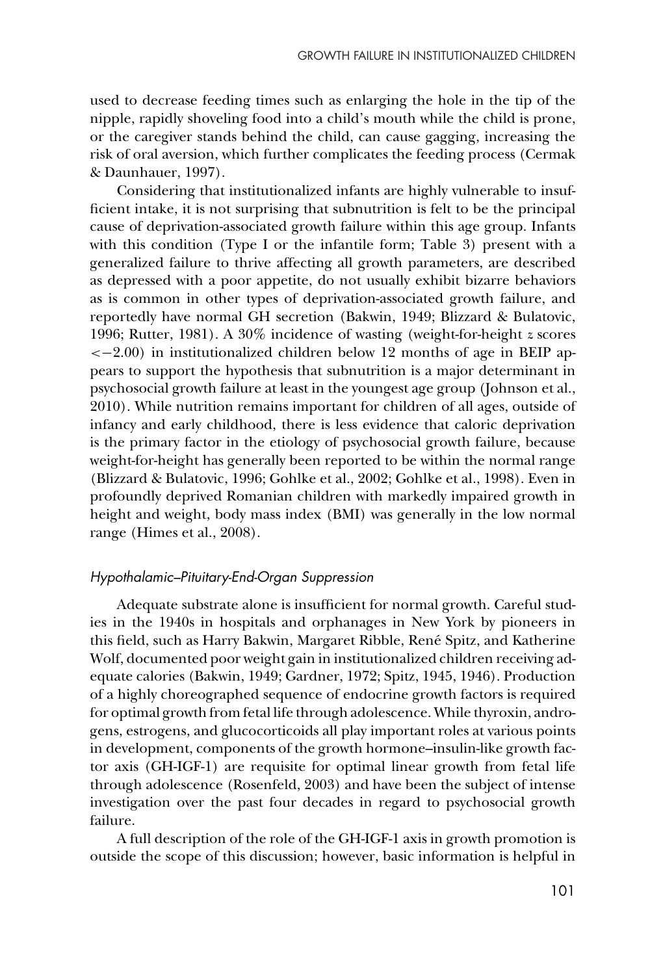used to decrease feeding times such as enlarging the hole in the tip of the nipple, rapidly shoveling food into a child's mouth while the child is prone, or the caregiver stands behind the child, can cause gagging, increasing the risk of oral aversion, which further complicates the feeding process (Cermak & Daunhauer, 1997).

Considering that institutionalized infants are highly vulnerable to insufficient intake, it is not surprising that subnutrition is felt to be the principal cause of deprivation-associated growth failure within this age group. Infants with this condition (Type I or the infantile form; Table 3) present with a generalized failure to thrive affecting all growth parameters, are described as depressed with a poor appetite, do not usually exhibit bizarre behaviors as is common in other types of deprivation-associated growth failure, and reportedly have normal GH secretion (Bakwin, 1949; Blizzard & Bulatovic, 1996; Rutter, 1981). A 30% incidence of wasting (weight-for-height *z* scores  $<-2.00$ ) in institutionalized children below 12 months of age in BEIP appears to support the hypothesis that subnutrition is a major determinant in psychosocial growth failure at least in the youngest age group (Johnson et al., 2010). While nutrition remains important for children of all ages, outside of infancy and early childhood, there is less evidence that caloric deprivation is the primary factor in the etiology of psychosocial growth failure, because weight-for-height has generally been reported to be within the normal range (Blizzard & Bulatovic, 1996; Gohlke et al., 2002; Gohlke et al., 1998). Even in profoundly deprived Romanian children with markedly impaired growth in height and weight, body mass index (BMI) was generally in the low normal range (Himes et al., 2008).

## *Hypothalamic–Pituitary-End-Organ Suppression*

Adequate substrate alone is insufficient for normal growth. Careful studies in the 1940s in hospitals and orphanages in New York by pioneers in this field, such as Harry Bakwin, Margaret Ribble, René Spitz, and Katherine Wolf, documented poor weight gain in institutionalized children receiving adequate calories (Bakwin, 1949; Gardner, 1972; Spitz, 1945, 1946). Production of a highly choreographed sequence of endocrine growth factors is required for optimal growth from fetal life through adolescence. While thyroxin, androgens, estrogens, and glucocorticoids all play important roles at various points in development, components of the growth hormone–insulin-like growth factor axis (GH-IGF-1) are requisite for optimal linear growth from fetal life through adolescence (Rosenfeld, 2003) and have been the subject of intense investigation over the past four decades in regard to psychosocial growth failure.

A full description of the role of the GH-IGF-1 axis in growth promotion is outside the scope of this discussion; however, basic information is helpful in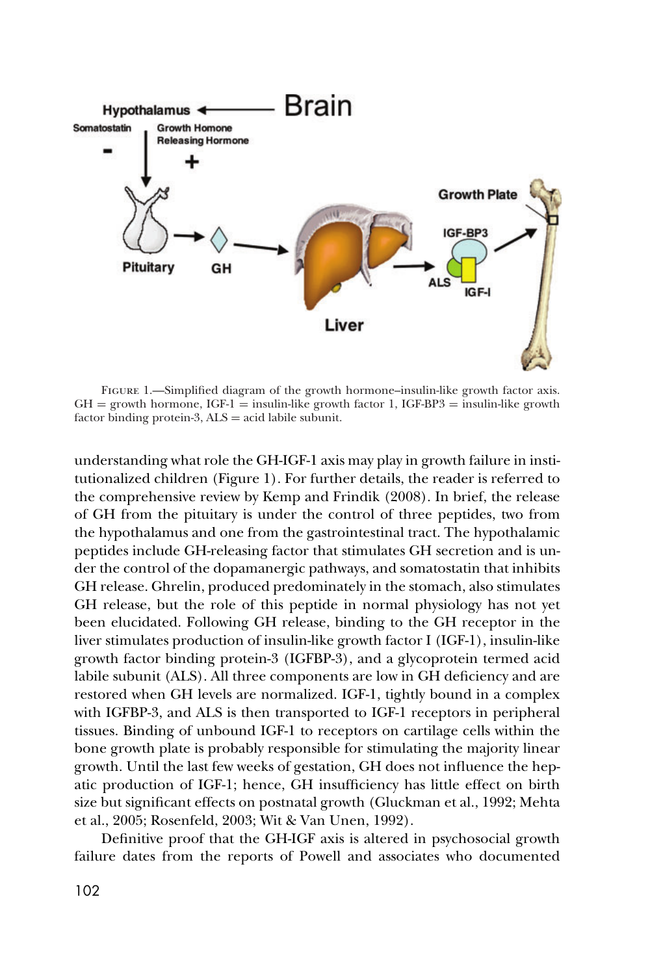

Figure 1.—Simplified diagram of the growth hormone–insulin-like growth factor axis.  $GH =$  growth hormone,  $IGF-1 =$  insulin-like growth factor 1,  $IGF-BP3 =$  insulin-like growth factor binding protein-3,  $ALS = acid$  labile subunit.

understanding what role the GH-IGF-1 axis may play in growth failure in institutionalized children (Figure 1). For further details, the reader is referred to the comprehensive review by Kemp and Frindik (2008). In brief, the release of GH from the pituitary is under the control of three peptides, two from the hypothalamus and one from the gastrointestinal tract. The hypothalamic peptides include GH-releasing factor that stimulates GH secretion and is under the control of the dopamanergic pathways, and somatostatin that inhibits GH release. Ghrelin, produced predominately in the stomach, also stimulates GH release, but the role of this peptide in normal physiology has not yet been elucidated. Following GH release, binding to the GH receptor in the liver stimulates production of insulin-like growth factor I (IGF-1), insulin-like growth factor binding protein-3 (IGFBP-3), and a glycoprotein termed acid labile subunit (ALS). All three components are low in GH deficiency and are restored when GH levels are normalized. IGF-1, tightly bound in a complex with IGFBP-3, and ALS is then transported to IGF-1 receptors in peripheral tissues. Binding of unbound IGF-1 to receptors on cartilage cells within the bone growth plate is probably responsible for stimulating the majority linear growth. Until the last few weeks of gestation, GH does not influence the hepatic production of IGF-1; hence, GH insufficiency has little effect on birth size but significant effects on postnatal growth (Gluckman et al., 1992; Mehta et al., 2005; Rosenfeld, 2003; Wit & Van Unen, 1992).

Definitive proof that the GH-IGF axis is altered in psychosocial growth failure dates from the reports of Powell and associates who documented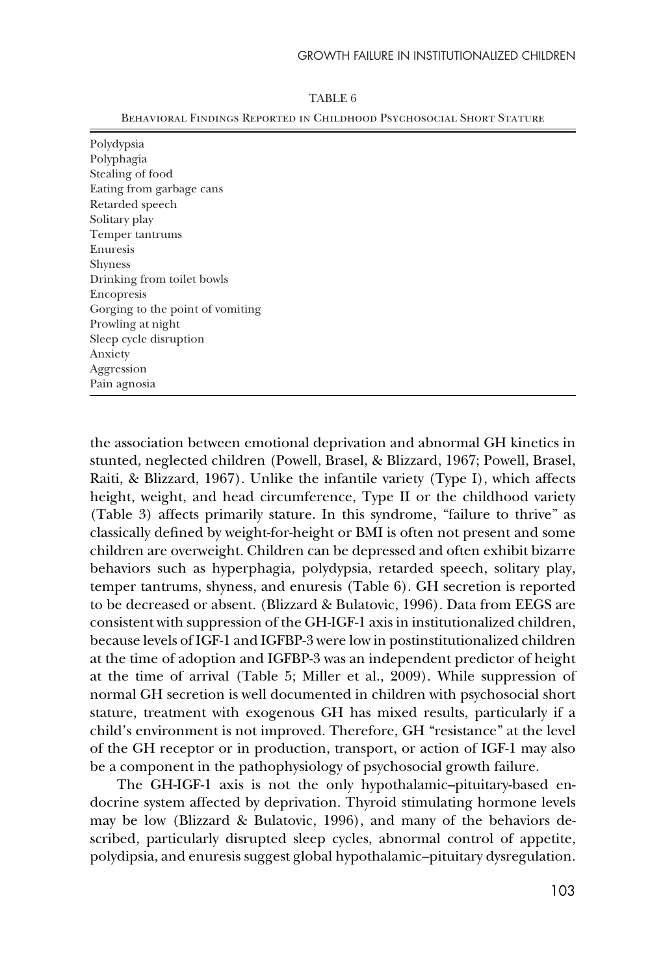| Polydypsia                       |  |
|----------------------------------|--|
| Polyphagia                       |  |
| Stealing of food                 |  |
| Eating from garbage cans         |  |
| Retarded speech                  |  |
| Solitary play                    |  |
| Temper tantrums                  |  |
| Enuresis                         |  |
| Shyness                          |  |
| Drinking from toilet bowls       |  |
| Encopresis                       |  |
| Gorging to the point of vomiting |  |
| Prowling at night                |  |
| Sleep cycle disruption           |  |
| Anxiety                          |  |
| Aggression                       |  |
| Pain agnosia                     |  |
|                                  |  |

#### TABLE 6

Behavioral Findings Reported in Childhood Psychosocial Short Stature

the association between emotional deprivation and abnormal GH kinetics in stunted, neglected children (Powell, Brasel, & Blizzard, 1967; Powell, Brasel, Raiti, & Blizzard, 1967). Unlike the infantile variety (Type I), which affects height, weight, and head circumference, Type II or the childhood variety (Table 3) affects primarily stature. In this syndrome, "failure to thrive" as classically defined by weight-for-height or BMI is often not present and some children are overweight. Children can be depressed and often exhibit bizarre behaviors such as hyperphagia, polydypsia, retarded speech, solitary play, temper tantrums, shyness, and enuresis (Table 6). GH secretion is reported to be decreased or absent. (Blizzard & Bulatovic, 1996). Data from EEGS are consistent with suppression of the GH-IGF-1 axis in institutionalized children, because levels of IGF-1 and IGFBP-3 were low in postinstitutionalized children at the time of adoption and IGFBP-3 was an independent predictor of height at the time of arrival (Table 5; Miller et al., 2009). While suppression of normal GH secretion is well documented in children with psychosocial short stature, treatment with exogenous GH has mixed results, particularly if a child's environment is not improved. Therefore, GH "resistance" at the level of the GH receptor or in production, transport, or action of IGF-1 may also be a component in the pathophysiology of psychosocial growth failure.

The GH-IGF-1 axis is not the only hypothalamic–pituitary-based endocrine system affected by deprivation. Thyroid stimulating hormone levels may be low (Blizzard & Bulatovic, 1996), and many of the behaviors described, particularly disrupted sleep cycles, abnormal control of appetite, polydipsia, and enuresis suggest global hypothalamic–pituitary dysregulation.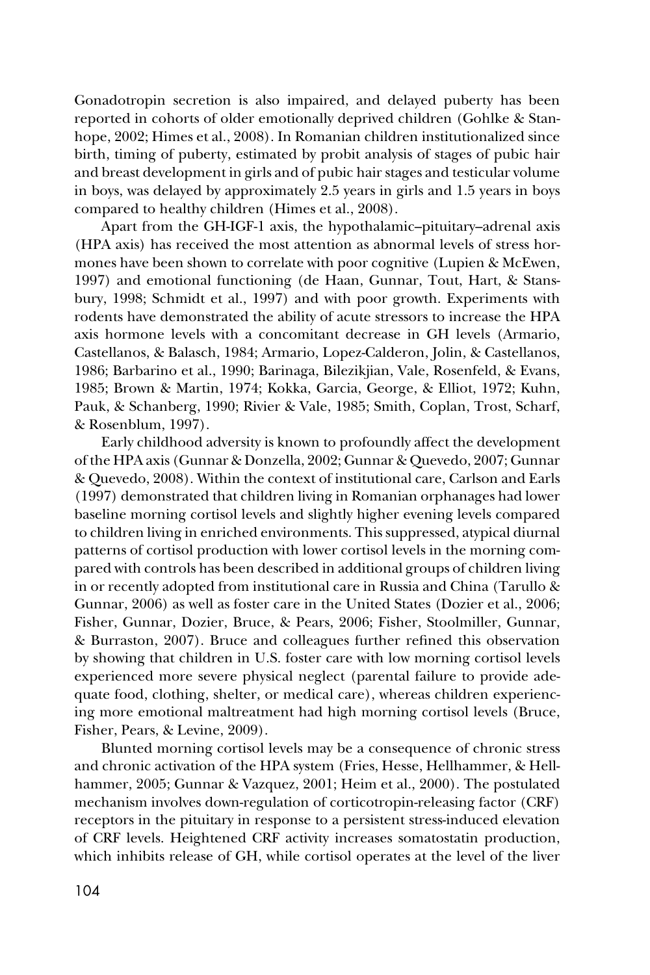Gonadotropin secretion is also impaired, and delayed puberty has been reported in cohorts of older emotionally deprived children (Gohlke & Stanhope, 2002; Himes et al., 2008). In Romanian children institutionalized since birth, timing of puberty, estimated by probit analysis of stages of pubic hair and breast development in girls and of pubic hair stages and testicular volume in boys, was delayed by approximately 2.5 years in girls and 1.5 years in boys compared to healthy children (Himes et al., 2008).

Apart from the GH-IGF-1 axis, the hypothalamic–pituitary–adrenal axis (HPA axis) has received the most attention as abnormal levels of stress hormones have been shown to correlate with poor cognitive (Lupien & McEwen, 1997) and emotional functioning (de Haan, Gunnar, Tout, Hart, & Stansbury, 1998; Schmidt et al., 1997) and with poor growth. Experiments with rodents have demonstrated the ability of acute stressors to increase the HPA axis hormone levels with a concomitant decrease in GH levels (Armario, Castellanos, & Balasch, 1984; Armario, Lopez-Calderon, Jolin, & Castellanos, 1986; Barbarino et al., 1990; Barinaga, Bilezikjian, Vale, Rosenfeld, & Evans, 1985; Brown & Martin, 1974; Kokka, Garcia, George, & Elliot, 1972; Kuhn, Pauk, & Schanberg, 1990; Rivier & Vale, 1985; Smith, Coplan, Trost, Scharf, & Rosenblum, 1997).

Early childhood adversity is known to profoundly affect the development of the HPA axis (Gunnar & Donzella, 2002; Gunnar & Quevedo, 2007; Gunnar & Quevedo, 2008). Within the context of institutional care, Carlson and Earls (1997) demonstrated that children living in Romanian orphanages had lower baseline morning cortisol levels and slightly higher evening levels compared to children living in enriched environments. This suppressed, atypical diurnal patterns of cortisol production with lower cortisol levels in the morning compared with controls has been described in additional groups of children living in or recently adopted from institutional care in Russia and China (Tarullo & Gunnar, 2006) as well as foster care in the United States (Dozier et al., 2006; Fisher, Gunnar, Dozier, Bruce, & Pears, 2006; Fisher, Stoolmiller, Gunnar, & Burraston, 2007). Bruce and colleagues further refined this observation by showing that children in U.S. foster care with low morning cortisol levels experienced more severe physical neglect (parental failure to provide adequate food, clothing, shelter, or medical care), whereas children experiencing more emotional maltreatment had high morning cortisol levels (Bruce, Fisher, Pears, & Levine, 2009).

Blunted morning cortisol levels may be a consequence of chronic stress and chronic activation of the HPA system (Fries, Hesse, Hellhammer, & Hellhammer, 2005; Gunnar & Vazquez, 2001; Heim et al., 2000). The postulated mechanism involves down-regulation of corticotropin-releasing factor (CRF) receptors in the pituitary in response to a persistent stress-induced elevation of CRF levels. Heightened CRF activity increases somatostatin production, which inhibits release of GH, while cortisol operates at the level of the liver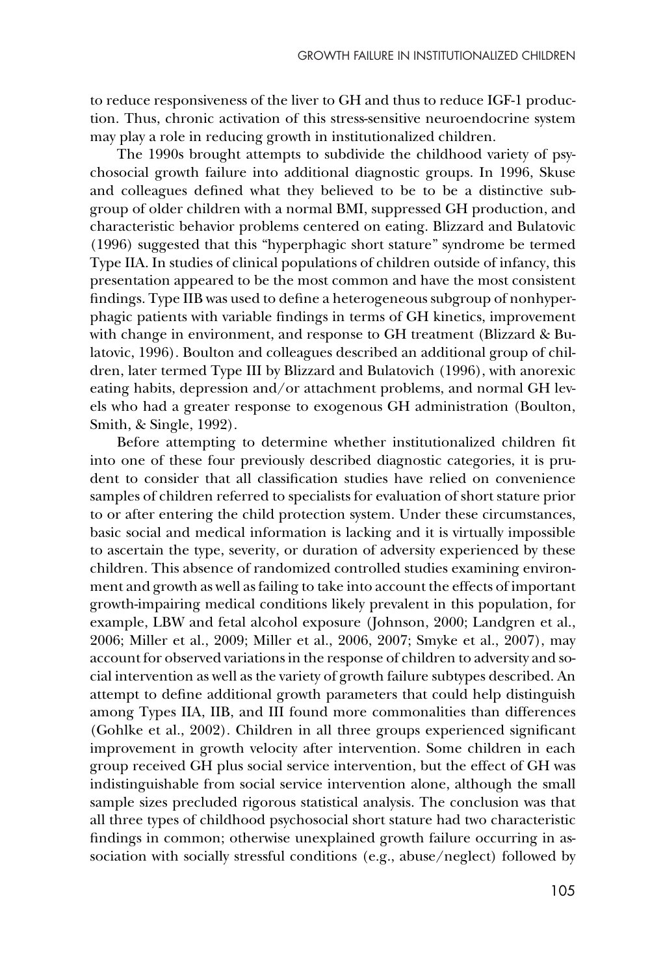to reduce responsiveness of the liver to GH and thus to reduce IGF-1 production. Thus, chronic activation of this stress-sensitive neuroendocrine system may play a role in reducing growth in institutionalized children.

The 1990s brought attempts to subdivide the childhood variety of psychosocial growth failure into additional diagnostic groups. In 1996, Skuse and colleagues defined what they believed to be to be a distinctive subgroup of older children with a normal BMI, suppressed GH production, and characteristic behavior problems centered on eating. Blizzard and Bulatovic (1996) suggested that this "hyperphagic short stature" syndrome be termed Type IIA. In studies of clinical populations of children outside of infancy, this presentation appeared to be the most common and have the most consistent findings. Type IIB was used to define a heterogeneous subgroup of nonhyperphagic patients with variable findings in terms of GH kinetics, improvement with change in environment, and response to GH treatment (Blizzard & Bulatovic, 1996). Boulton and colleagues described an additional group of children, later termed Type III by Blizzard and Bulatovich (1996), with anorexic eating habits, depression and/or attachment problems, and normal GH levels who had a greater response to exogenous GH administration (Boulton, Smith, & Single, 1992).

Before attempting to determine whether institutionalized children fit into one of these four previously described diagnostic categories, it is prudent to consider that all classification studies have relied on convenience samples of children referred to specialists for evaluation of short stature prior to or after entering the child protection system. Under these circumstances, basic social and medical information is lacking and it is virtually impossible to ascertain the type, severity, or duration of adversity experienced by these children. This absence of randomized controlled studies examining environment and growth as well as failing to take into account the effects of important growth-impairing medical conditions likely prevalent in this population, for example, LBW and fetal alcohol exposure (Johnson, 2000; Landgren et al., 2006; Miller et al., 2009; Miller et al., 2006, 2007; Smyke et al., 2007), may account for observed variations in the response of children to adversity and social intervention as well as the variety of growth failure subtypes described. An attempt to define additional growth parameters that could help distinguish among Types IIA, IIB, and III found more commonalities than differences (Gohlke et al., 2002). Children in all three groups experienced significant improvement in growth velocity after intervention. Some children in each group received GH plus social service intervention, but the effect of GH was indistinguishable from social service intervention alone, although the small sample sizes precluded rigorous statistical analysis. The conclusion was that all three types of childhood psychosocial short stature had two characteristic findings in common; otherwise unexplained growth failure occurring in association with socially stressful conditions (e.g., abuse/neglect) followed by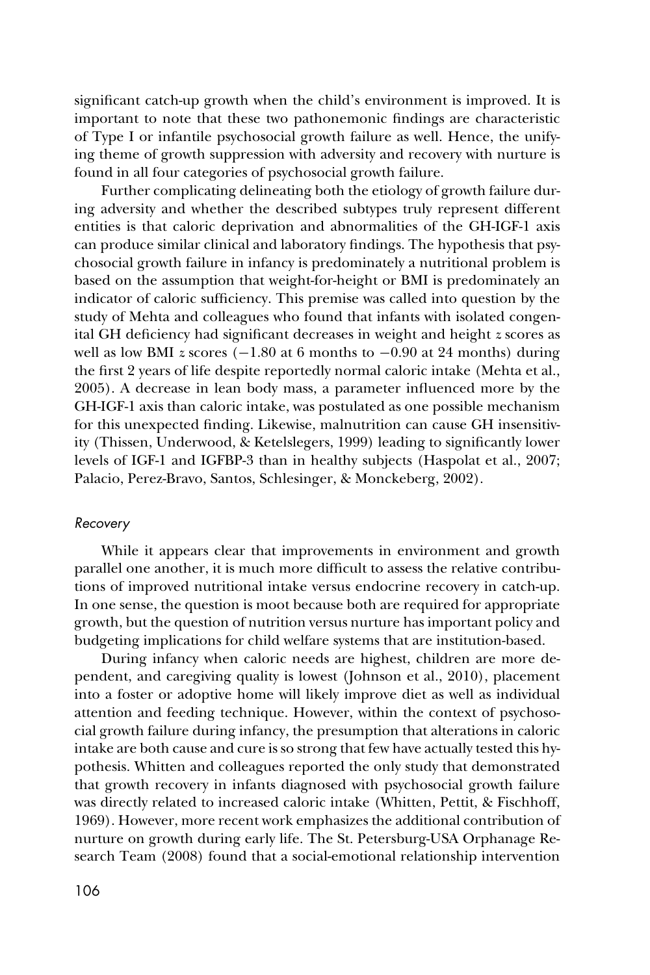significant catch-up growth when the child's environment is improved. It is important to note that these two pathonemonic findings are characteristic of Type I or infantile psychosocial growth failure as well. Hence, the unifying theme of growth suppression with adversity and recovery with nurture is found in all four categories of psychosocial growth failure.

Further complicating delineating both the etiology of growth failure during adversity and whether the described subtypes truly represent different entities is that caloric deprivation and abnormalities of the GH-IGF-1 axis can produce similar clinical and laboratory findings. The hypothesis that psychosocial growth failure in infancy is predominately a nutritional problem is based on the assumption that weight-for-height or BMI is predominately an indicator of caloric sufficiency. This premise was called into question by the study of Mehta and colleagues who found that infants with isolated congenital GH deficiency had significant decreases in weight and height *z* scores as well as low BMI *z* scores (−1.80 at 6 months to −0.90 at 24 months) during the first 2 years of life despite reportedly normal caloric intake (Mehta et al., 2005). A decrease in lean body mass, a parameter influenced more by the GH-IGF-1 axis than caloric intake, was postulated as one possible mechanism for this unexpected finding. Likewise, malnutrition can cause GH insensitivity (Thissen, Underwood, & Ketelslegers, 1999) leading to significantly lower levels of IGF-1 and IGFBP-3 than in healthy subjects (Haspolat et al., 2007; Palacio, Perez-Bravo, Santos, Schlesinger, & Monckeberg, 2002).

#### *Recovery*

While it appears clear that improvements in environment and growth parallel one another, it is much more difficult to assess the relative contributions of improved nutritional intake versus endocrine recovery in catch-up. In one sense, the question is moot because both are required for appropriate growth, but the question of nutrition versus nurture has important policy and budgeting implications for child welfare systems that are institution-based.

During infancy when caloric needs are highest, children are more dependent, and caregiving quality is lowest (Johnson et al., 2010), placement into a foster or adoptive home will likely improve diet as well as individual attention and feeding technique. However, within the context of psychosocial growth failure during infancy, the presumption that alterations in caloric intake are both cause and cure is so strong that few have actually tested this hypothesis. Whitten and colleagues reported the only study that demonstrated that growth recovery in infants diagnosed with psychosocial growth failure was directly related to increased caloric intake (Whitten, Pettit, & Fischhoff, 1969). However, more recent work emphasizes the additional contribution of nurture on growth during early life. The St. Petersburg-USA Orphanage Research Team (2008) found that a social-emotional relationship intervention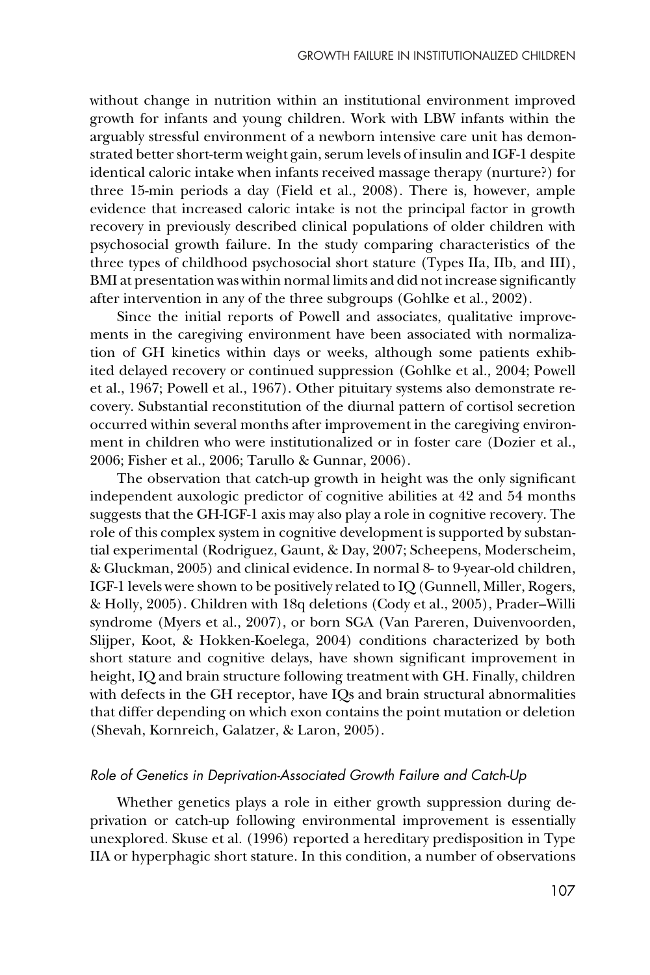without change in nutrition within an institutional environment improved growth for infants and young children. Work with LBW infants within the arguably stressful environment of a newborn intensive care unit has demonstrated better short-term weight gain, serum levels of insulin and IGF-1 despite identical caloric intake when infants received massage therapy (nurture?) for three 15-min periods a day (Field et al., 2008). There is, however, ample evidence that increased caloric intake is not the principal factor in growth recovery in previously described clinical populations of older children with psychosocial growth failure. In the study comparing characteristics of the three types of childhood psychosocial short stature (Types IIa, IIb, and III), BMI at presentation was within normal limits and did not increase significantly after intervention in any of the three subgroups (Gohlke et al., 2002).

Since the initial reports of Powell and associates, qualitative improvements in the caregiving environment have been associated with normalization of GH kinetics within days or weeks, although some patients exhibited delayed recovery or continued suppression (Gohlke et al., 2004; Powell et al., 1967; Powell et al., 1967). Other pituitary systems also demonstrate recovery. Substantial reconstitution of the diurnal pattern of cortisol secretion occurred within several months after improvement in the caregiving environment in children who were institutionalized or in foster care (Dozier et al., 2006; Fisher et al., 2006; Tarullo & Gunnar, 2006).

The observation that catch-up growth in height was the only significant independent auxologic predictor of cognitive abilities at 42 and 54 months suggests that the GH-IGF-1 axis may also play a role in cognitive recovery. The role of this complex system in cognitive development is supported by substantial experimental (Rodriguez, Gaunt, & Day, 2007; Scheepens, Moderscheim, & Gluckman, 2005) and clinical evidence. In normal 8- to 9-year-old children, IGF-1 levels were shown to be positively related to IQ (Gunnell, Miller, Rogers, & Holly, 2005). Children with 18q deletions (Cody et al., 2005), Prader–Willi syndrome (Myers et al., 2007), or born SGA (Van Pareren, Duivenvoorden, Slijper, Koot, & Hokken-Koelega, 2004) conditions characterized by both short stature and cognitive delays, have shown significant improvement in height, IQ and brain structure following treatment with GH. Finally, children with defects in the GH receptor, have IQs and brain structural abnormalities that differ depending on which exon contains the point mutation or deletion (Shevah, Kornreich, Galatzer, & Laron, 2005).

## *Role of Genetics in Deprivation-Associated Growth Failure and Catch-Up*

Whether genetics plays a role in either growth suppression during deprivation or catch-up following environmental improvement is essentially unexplored. Skuse et al. (1996) reported a hereditary predisposition in Type IIA or hyperphagic short stature. In this condition, a number of observations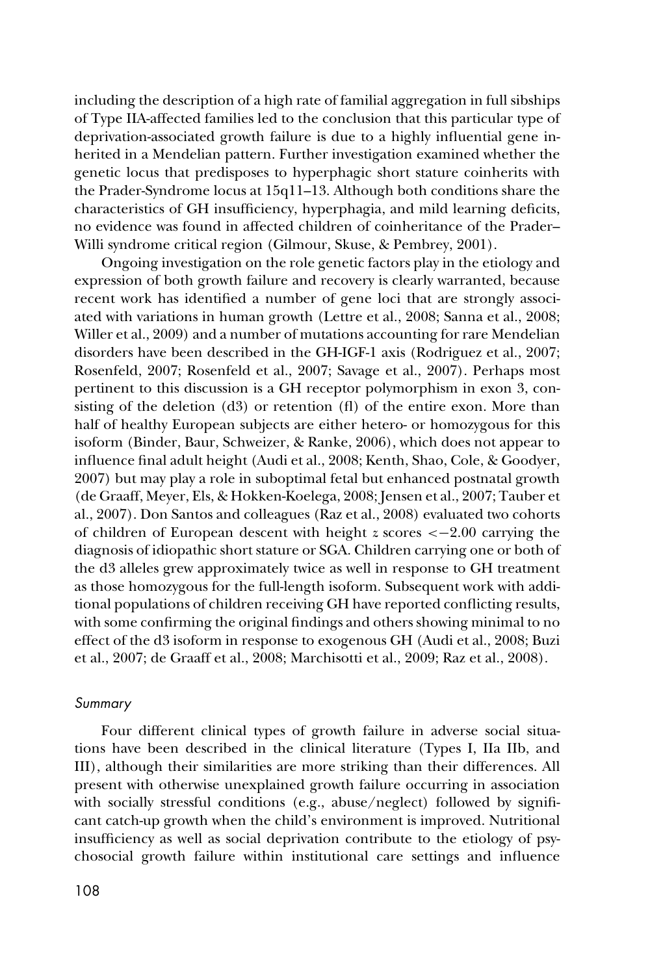including the description of a high rate of familial aggregation in full sibships of Type IIA-affected families led to the conclusion that this particular type of deprivation-associated growth failure is due to a highly influential gene inherited in a Mendelian pattern. Further investigation examined whether the genetic locus that predisposes to hyperphagic short stature coinherits with the Prader-Syndrome locus at 15q11–13. Although both conditions share the characteristics of GH insufficiency, hyperphagia, and mild learning deficits, no evidence was found in affected children of coinheritance of the Prader– Willi syndrome critical region (Gilmour, Skuse, & Pembrey, 2001).

Ongoing investigation on the role genetic factors play in the etiology and expression of both growth failure and recovery is clearly warranted, because recent work has identified a number of gene loci that are strongly associated with variations in human growth (Lettre et al., 2008; Sanna et al., 2008; Willer et al., 2009) and a number of mutations accounting for rare Mendelian disorders have been described in the GH-IGF-1 axis (Rodriguez et al., 2007; Rosenfeld, 2007; Rosenfeld et al., 2007; Savage et al., 2007). Perhaps most pertinent to this discussion is a GH receptor polymorphism in exon 3, consisting of the deletion (d3) or retention (fl) of the entire exon. More than half of healthy European subjects are either hetero- or homozygous for this isoform (Binder, Baur, Schweizer, & Ranke, 2006), which does not appear to influence final adult height (Audi et al., 2008; Kenth, Shao, Cole, & Goodyer, 2007) but may play a role in suboptimal fetal but enhanced postnatal growth (de Graaff, Meyer, Els, & Hokken-Koelega, 2008; Jensen et al., 2007; Tauber et al., 2007). Don Santos and colleagues (Raz et al., 2008) evaluated two cohorts of children of European descent with height *z* scores <−2.00 carrying the diagnosis of idiopathic short stature or SGA. Children carrying one or both of the d3 alleles grew approximately twice as well in response to GH treatment as those homozygous for the full-length isoform. Subsequent work with additional populations of children receiving GH have reported conflicting results, with some confirming the original findings and others showing minimal to no effect of the d3 isoform in response to exogenous GH (Audi et al., 2008; Buzi et al., 2007; de Graaff et al., 2008; Marchisotti et al., 2009; Raz et al., 2008).

#### *Summary*

Four different clinical types of growth failure in adverse social situations have been described in the clinical literature (Types I, IIa IIb, and III), although their similarities are more striking than their differences. All present with otherwise unexplained growth failure occurring in association with socially stressful conditions (e.g., abuse/neglect) followed by significant catch-up growth when the child's environment is improved. Nutritional insufficiency as well as social deprivation contribute to the etiology of psychosocial growth failure within institutional care settings and influence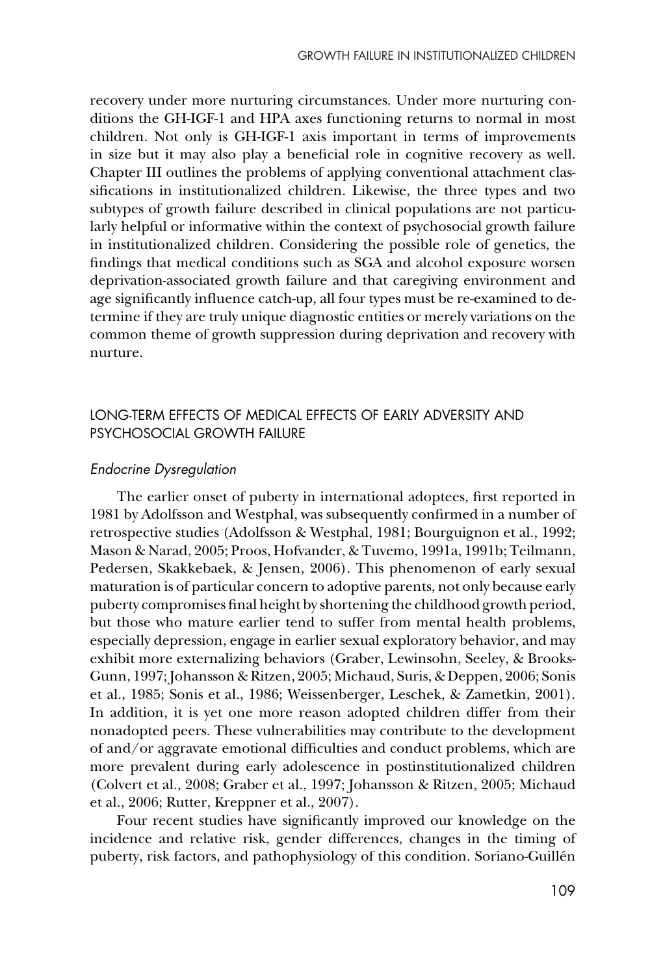recovery under more nurturing circumstances. Under more nurturing conditions the GH-IGF-1 and HPA axes functioning returns to normal in most children. Not only is GH-IGF-1 axis important in terms of improvements in size but it may also play a beneficial role in cognitive recovery as well. Chapter III outlines the problems of applying conventional attachment classifications in institutionalized children. Likewise, the three types and two subtypes of growth failure described in clinical populations are not particularly helpful or informative within the context of psychosocial growth failure in institutionalized children. Considering the possible role of genetics, the findings that medical conditions such as SGA and alcohol exposure worsen deprivation-associated growth failure and that caregiving environment and age significantly influence catch-up, all four types must be re-examined to determine if they are truly unique diagnostic entities or merely variations on the common theme of growth suppression during deprivation and recovery with nurture.

# LONG-TERM EFFECTS OF MEDICAL EFFECTS OF EARLY ADVERSITY AND PSYCHOSOCIAL GROWTH FAILURE

## *Endocrine Dysregulation*

The earlier onset of puberty in international adoptees, first reported in 1981 by Adolfsson and Westphal, was subsequently confirmed in a number of retrospective studies (Adolfsson & Westphal, 1981; Bourguignon et al., 1992; Mason & Narad, 2005; Proos, Hofvander, & Tuvemo, 1991a, 1991b; Teilmann, Pedersen, Skakkebaek, & Jensen, 2006). This phenomenon of early sexual maturation is of particular concern to adoptive parents, not only because early puberty compromises final height by shortening the childhood growth period, but those who mature earlier tend to suffer from mental health problems, especially depression, engage in earlier sexual exploratory behavior, and may exhibit more externalizing behaviors (Graber, Lewinsohn, Seeley, & Brooks-Gunn, 1997; Johansson & Ritzen, 2005; Michaud, Suris, & Deppen, 2006; Sonis et al., 1985; Sonis et al., 1986; Weissenberger, Leschek, & Zametkin, 2001). In addition, it is yet one more reason adopted children differ from their nonadopted peers. These vulnerabilities may contribute to the development of and/or aggravate emotional difficulties and conduct problems, which are more prevalent during early adolescence in postinstitutionalized children (Colvert et al., 2008; Graber et al., 1997; Johansson & Ritzen, 2005; Michaud et al., 2006; Rutter, Kreppner et al., 2007).

Four recent studies have significantly improved our knowledge on the incidence and relative risk, gender differences, changes in the timing of puberty, risk factors, and pathophysiology of this condition. Soriano-Guillén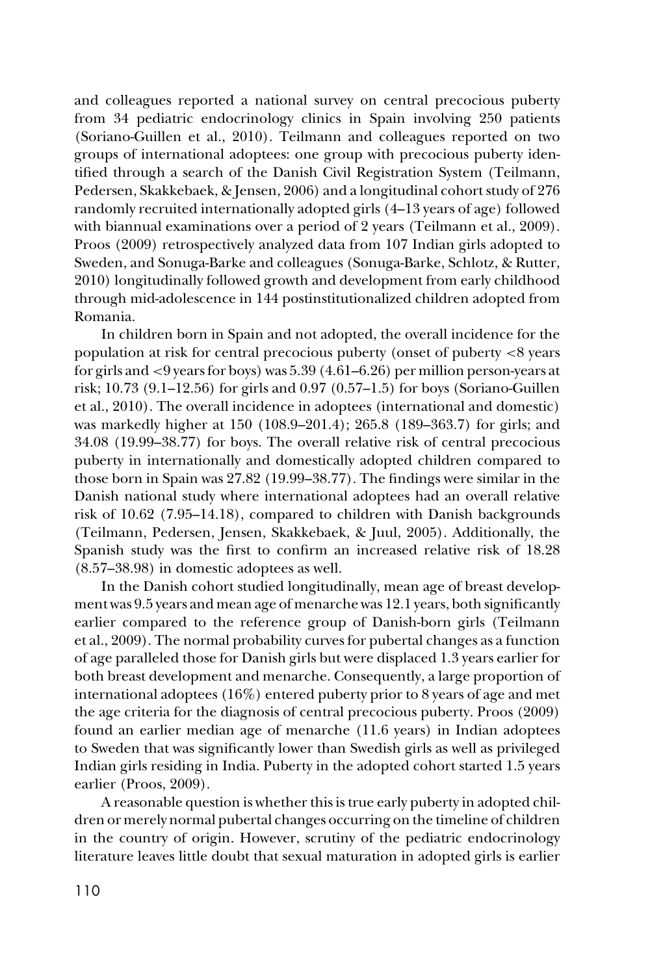and colleagues reported a national survey on central precocious puberty from 34 pediatric endocrinology clinics in Spain involving 250 patients (Soriano-Guillen et al., 2010). Teilmann and colleagues reported on two groups of international adoptees: one group with precocious puberty identified through a search of the Danish Civil Registration System (Teilmann, Pedersen, Skakkebaek, & Jensen, 2006) and a longitudinal cohort study of 276 randomly recruited internationally adopted girls (4–13 years of age) followed with biannual examinations over a period of 2 years (Teilmann et al., 2009). Proos (2009) retrospectively analyzed data from 107 Indian girls adopted to Sweden, and Sonuga-Barke and colleagues (Sonuga-Barke, Schlotz, & Rutter, 2010) longitudinally followed growth and development from early childhood through mid-adolescence in 144 postinstitutionalized children adopted from Romania.

In children born in Spain and not adopted, the overall incidence for the population at risk for central precocious puberty (onset of puberty <8 years for girls and <9 years for boys) was 5.39 (4.61–6.26) per million person-years at risk; 10.73 (9.1–12.56) for girls and 0.97 (0.57–1.5) for boys (Soriano-Guillen et al., 2010). The overall incidence in adoptees (international and domestic) was markedly higher at 150 (108.9–201.4); 265.8 (189–363.7) for girls; and 34.08 (19.99–38.77) for boys. The overall relative risk of central precocious puberty in internationally and domestically adopted children compared to those born in Spain was 27.82 (19.99–38.77). The findings were similar in the Danish national study where international adoptees had an overall relative risk of 10.62 (7.95–14.18), compared to children with Danish backgrounds (Teilmann, Pedersen, Jensen, Skakkebaek, & Juul, 2005). Additionally, the Spanish study was the first to confirm an increased relative risk of 18.28 (8.57–38.98) in domestic adoptees as well.

In the Danish cohort studied longitudinally, mean age of breast development was 9.5 years and mean age of menarche was 12.1 years, both significantly earlier compared to the reference group of Danish-born girls (Teilmann et al., 2009). The normal probability curves for pubertal changes as a function of age paralleled those for Danish girls but were displaced 1.3 years earlier for both breast development and menarche. Consequently, a large proportion of international adoptees (16%) entered puberty prior to 8 years of age and met the age criteria for the diagnosis of central precocious puberty. Proos (2009) found an earlier median age of menarche (11.6 years) in Indian adoptees to Sweden that was significantly lower than Swedish girls as well as privileged Indian girls residing in India. Puberty in the adopted cohort started 1.5 years earlier (Proos, 2009).

A reasonable question is whether this is true early puberty in adopted children or merely normal pubertal changes occurring on the timeline of children in the country of origin. However, scrutiny of the pediatric endocrinology literature leaves little doubt that sexual maturation in adopted girls is earlier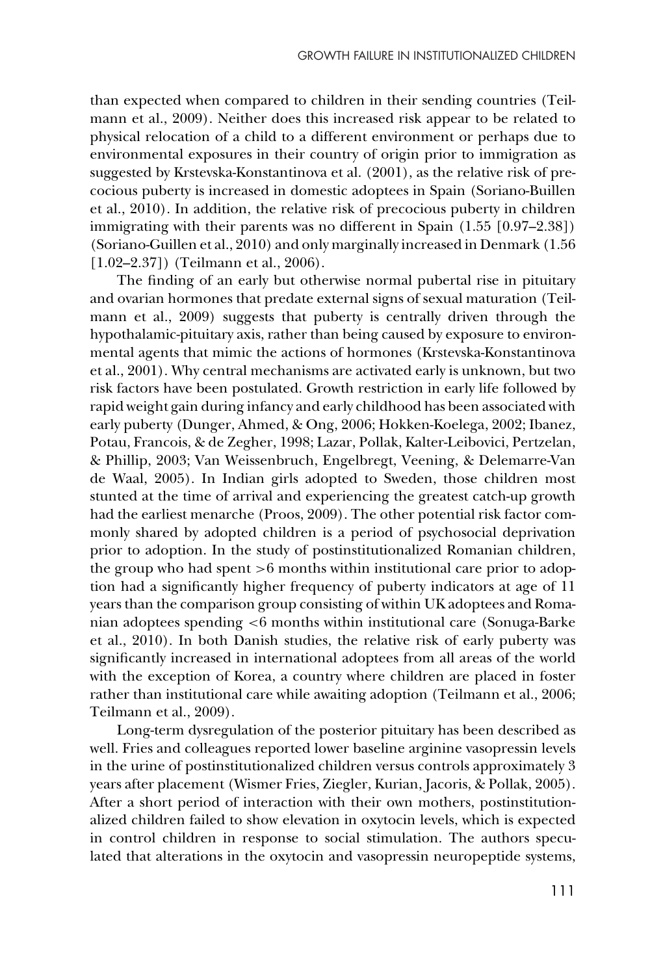than expected when compared to children in their sending countries (Teilmann et al., 2009). Neither does this increased risk appear to be related to physical relocation of a child to a different environment or perhaps due to environmental exposures in their country of origin prior to immigration as suggested by Krstevska-Konstantinova et al. (2001), as the relative risk of precocious puberty is increased in domestic adoptees in Spain (Soriano-Buillen et al., 2010). In addition, the relative risk of precocious puberty in children immigrating with their parents was no different in Spain (1.55 [0.97–2.38]) (Soriano-Guillen et al., 2010) and only marginally increased in Denmark (1.56 [1.02-2.37]) (Teilmann et al., 2006).

The finding of an early but otherwise normal pubertal rise in pituitary and ovarian hormones that predate external signs of sexual maturation (Teilmann et al., 2009) suggests that puberty is centrally driven through the hypothalamic-pituitary axis, rather than being caused by exposure to environmental agents that mimic the actions of hormones (Krstevska-Konstantinova et al., 2001). Why central mechanisms are activated early is unknown, but two risk factors have been postulated. Growth restriction in early life followed by rapid weight gain during infancy and early childhood has been associated with early puberty (Dunger, Ahmed, & Ong, 2006; Hokken-Koelega, 2002; Ibanez, Potau, Francois, & de Zegher, 1998; Lazar, Pollak, Kalter-Leibovici, Pertzelan, & Phillip, 2003; Van Weissenbruch, Engelbregt, Veening, & Delemarre-Van de Waal, 2005). In Indian girls adopted to Sweden, those children most stunted at the time of arrival and experiencing the greatest catch-up growth had the earliest menarche (Proos, 2009). The other potential risk factor commonly shared by adopted children is a period of psychosocial deprivation prior to adoption. In the study of postinstitutionalized Romanian children, the group who had spent >6 months within institutional care prior to adoption had a significantly higher frequency of puberty indicators at age of 11 years than the comparison group consisting of within UK adoptees and Romanian adoptees spending <6 months within institutional care (Sonuga-Barke et al., 2010). In both Danish studies, the relative risk of early puberty was significantly increased in international adoptees from all areas of the world with the exception of Korea, a country where children are placed in foster rather than institutional care while awaiting adoption (Teilmann et al., 2006; Teilmann et al., 2009).

Long-term dysregulation of the posterior pituitary has been described as well. Fries and colleagues reported lower baseline arginine vasopressin levels in the urine of postinstitutionalized children versus controls approximately 3 years after placement (Wismer Fries, Ziegler, Kurian, Jacoris, & Pollak, 2005). After a short period of interaction with their own mothers, postinstitutionalized children failed to show elevation in oxytocin levels, which is expected in control children in response to social stimulation. The authors speculated that alterations in the oxytocin and vasopressin neuropeptide systems,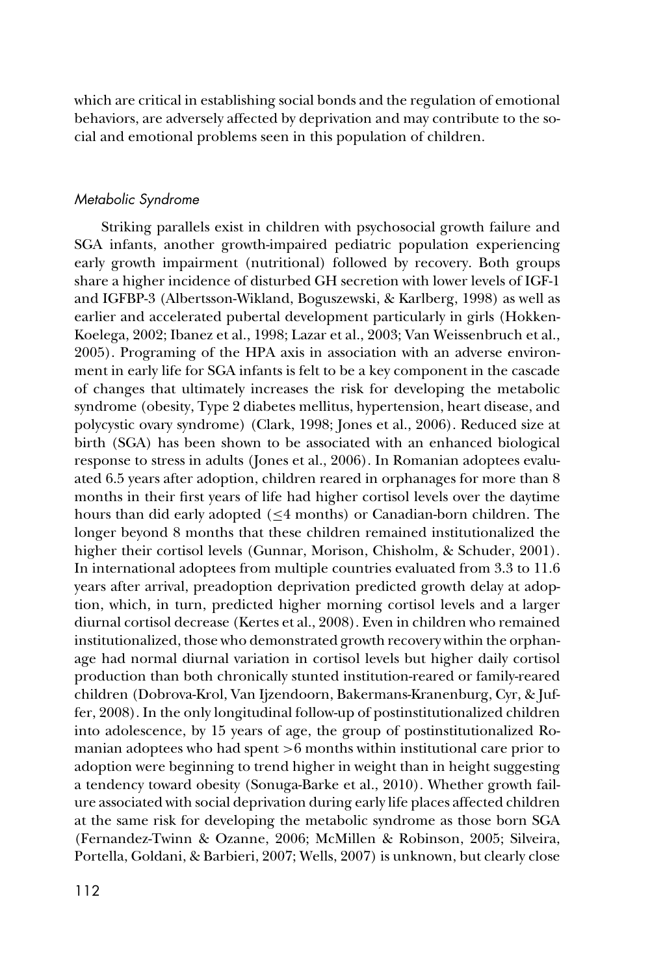which are critical in establishing social bonds and the regulation of emotional behaviors, are adversely affected by deprivation and may contribute to the social and emotional problems seen in this population of children.

## *Metabolic Syndrome*

Striking parallels exist in children with psychosocial growth failure and SGA infants, another growth-impaired pediatric population experiencing early growth impairment (nutritional) followed by recovery. Both groups share a higher incidence of disturbed GH secretion with lower levels of IGF-1 and IGFBP-3 (Albertsson-Wikland, Boguszewski, & Karlberg, 1998) as well as earlier and accelerated pubertal development particularly in girls (Hokken-Koelega, 2002; Ibanez et al., 1998; Lazar et al., 2003; Van Weissenbruch et al., 2005). Programing of the HPA axis in association with an adverse environment in early life for SGA infants is felt to be a key component in the cascade of changes that ultimately increases the risk for developing the metabolic syndrome (obesity, Type 2 diabetes mellitus, hypertension, heart disease, and polycystic ovary syndrome) (Clark, 1998; Jones et al., 2006). Reduced size at birth (SGA) has been shown to be associated with an enhanced biological response to stress in adults (Jones et al., 2006). In Romanian adoptees evaluated 6.5 years after adoption, children reared in orphanages for more than 8 months in their first years of life had higher cortisol levels over the daytime hours than did early adopted  $(\leq 4$  months) or Canadian-born children. The longer beyond 8 months that these children remained institutionalized the higher their cortisol levels (Gunnar, Morison, Chisholm, & Schuder, 2001). In international adoptees from multiple countries evaluated from 3.3 to 11.6 years after arrival, preadoption deprivation predicted growth delay at adoption, which, in turn, predicted higher morning cortisol levels and a larger diurnal cortisol decrease (Kertes et al., 2008). Even in children who remained institutionalized, those who demonstrated growth recovery within the orphanage had normal diurnal variation in cortisol levels but higher daily cortisol production than both chronically stunted institution-reared or family-reared children (Dobrova-Krol, Van Ijzendoorn, Bakermans-Kranenburg, Cyr, & Juffer, 2008). In the only longitudinal follow-up of postinstitutionalized children into adolescence, by 15 years of age, the group of postinstitutionalized Romanian adoptees who had spent >6 months within institutional care prior to adoption were beginning to trend higher in weight than in height suggesting a tendency toward obesity (Sonuga-Barke et al., 2010). Whether growth failure associated with social deprivation during early life places affected children at the same risk for developing the metabolic syndrome as those born SGA (Fernandez-Twinn & Ozanne, 2006; McMillen & Robinson, 2005; Silveira, Portella, Goldani, & Barbieri, 2007; Wells, 2007) is unknown, but clearly close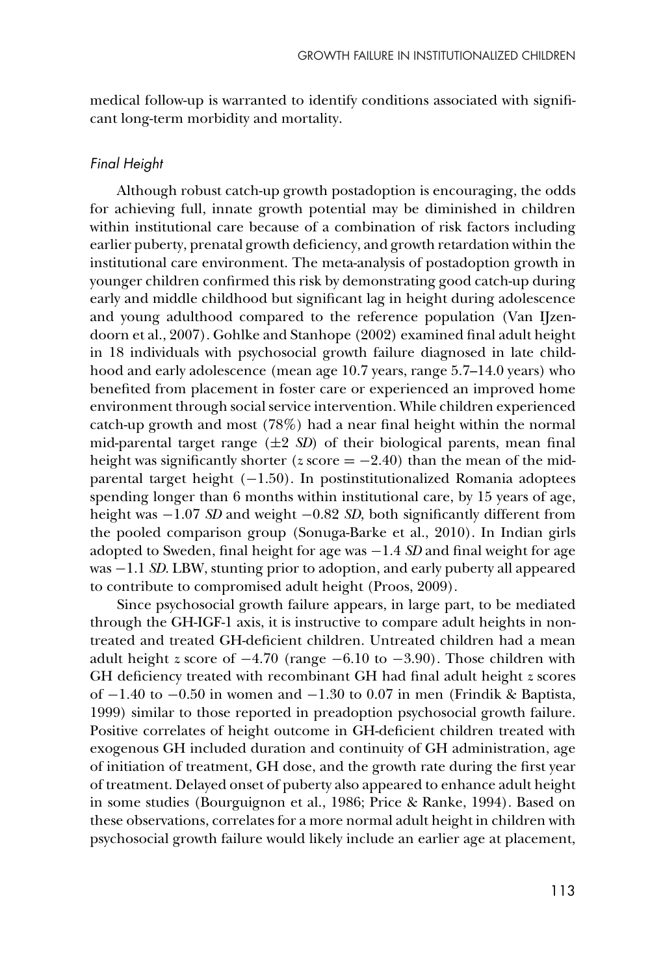medical follow-up is warranted to identify conditions associated with significant long-term morbidity and mortality.

## *Final Height*

Although robust catch-up growth postadoption is encouraging, the odds for achieving full, innate growth potential may be diminished in children within institutional care because of a combination of risk factors including earlier puberty, prenatal growth deficiency, and growth retardation within the institutional care environment. The meta-analysis of postadoption growth in younger children confirmed this risk by demonstrating good catch-up during early and middle childhood but significant lag in height during adolescence and young adulthood compared to the reference population (Van IJzendoorn et al., 2007). Gohlke and Stanhope (2002) examined final adult height in 18 individuals with psychosocial growth failure diagnosed in late childhood and early adolescence (mean age 10.7 years, range 5.7–14.0 years) who benefited from placement in foster care or experienced an improved home environment through social service intervention. While children experienced catch-up growth and most (78%) had a near final height within the normal mid-parental target range  $(\pm 2 \text{ SD})$  of their biological parents, mean final height was significantly shorter ( $z$  score =  $-2.40$ ) than the mean of the midparental target height (−1.50). In postinstitutionalized Romania adoptees spending longer than 6 months within institutional care, by 15 years of age, height was −1.07 *SD* and weight −0.82 *SD*, both significantly different from the pooled comparison group (Sonuga-Barke et al., 2010). In Indian girls adopted to Sweden, final height for age was −1.4 *SD* and final weight for age was −1.1 *SD*. LBW, stunting prior to adoption, and early puberty all appeared to contribute to compromised adult height (Proos, 2009).

Since psychosocial growth failure appears, in large part, to be mediated through the GH-IGF-1 axis, it is instructive to compare adult heights in nontreated and treated GH-deficient children. Untreated children had a mean adult height *z* score of −4.70 (range −6.10 to −3.90). Those children with GH deficiency treated with recombinant GH had final adult height *z* scores of −1.40 to −0.50 in women and −1.30 to 0.07 in men (Frindik & Baptista, 1999) similar to those reported in preadoption psychosocial growth failure. Positive correlates of height outcome in GH-deficient children treated with exogenous GH included duration and continuity of GH administration, age of initiation of treatment, GH dose, and the growth rate during the first year of treatment. Delayed onset of puberty also appeared to enhance adult height in some studies (Bourguignon et al., 1986; Price & Ranke, 1994). Based on these observations, correlates for a more normal adult height in children with psychosocial growth failure would likely include an earlier age at placement,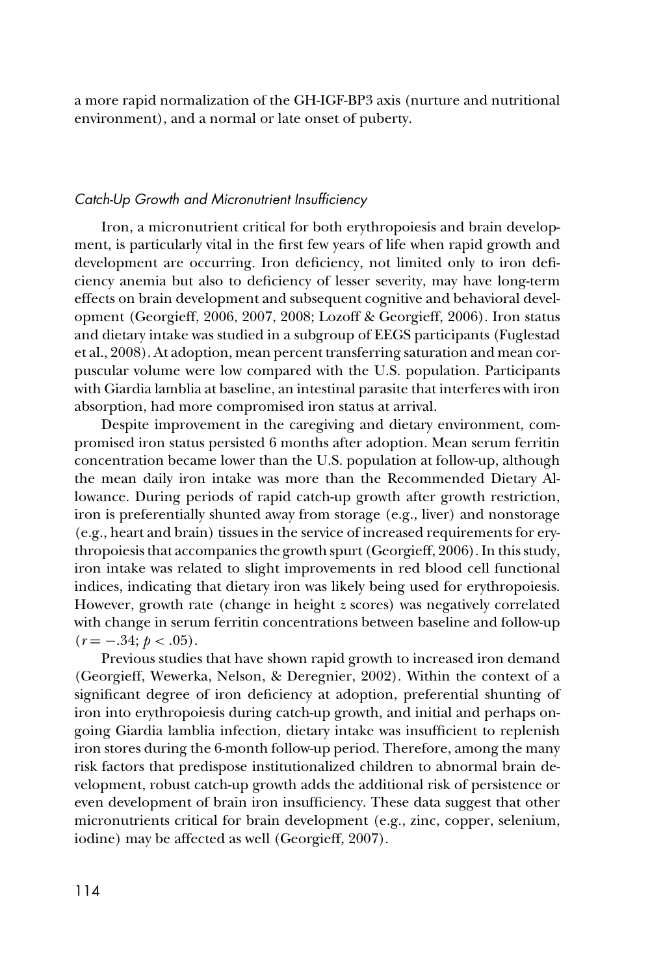a more rapid normalization of the GH-IGF-BP3 axis (nurture and nutritional environment), and a normal or late onset of puberty.

## *Catch-Up Growth and Micronutrient Insufficiency*

Iron, a micronutrient critical for both erythropoiesis and brain development, is particularly vital in the first few years of life when rapid growth and development are occurring. Iron deficiency, not limited only to iron deficiency anemia but also to deficiency of lesser severity, may have long-term effects on brain development and subsequent cognitive and behavioral development (Georgieff, 2006, 2007, 2008; Lozoff & Georgieff, 2006). Iron status and dietary intake was studied in a subgroup of EEGS participants (Fuglestad et al., 2008). At adoption, mean percent transferring saturation and mean corpuscular volume were low compared with the U.S. population. Participants with Giardia lamblia at baseline, an intestinal parasite that interferes with iron absorption, had more compromised iron status at arrival.

Despite improvement in the caregiving and dietary environment, compromised iron status persisted 6 months after adoption. Mean serum ferritin concentration became lower than the U.S. population at follow-up, although the mean daily iron intake was more than the Recommended Dietary Allowance. During periods of rapid catch-up growth after growth restriction, iron is preferentially shunted away from storage (e.g., liver) and nonstorage (e.g., heart and brain) tissues in the service of increased requirements for erythropoiesis that accompanies the growth spurt (Georgieff, 2006). In this study, iron intake was related to slight improvements in red blood cell functional indices, indicating that dietary iron was likely being used for erythropoiesis. However, growth rate (change in height *z* scores) was negatively correlated with change in serum ferritin concentrations between baseline and follow-up  $(r = -.34; p < .05)$ .

Previous studies that have shown rapid growth to increased iron demand (Georgieff, Wewerka, Nelson, & Deregnier, 2002). Within the context of a significant degree of iron deficiency at adoption, preferential shunting of iron into erythropoiesis during catch-up growth, and initial and perhaps ongoing Giardia lamblia infection, dietary intake was insufficient to replenish iron stores during the 6-month follow-up period. Therefore, among the many risk factors that predispose institutionalized children to abnormal brain development, robust catch-up growth adds the additional risk of persistence or even development of brain iron insufficiency. These data suggest that other micronutrients critical for brain development (e.g., zinc, copper, selenium, iodine) may be affected as well (Georgieff, 2007).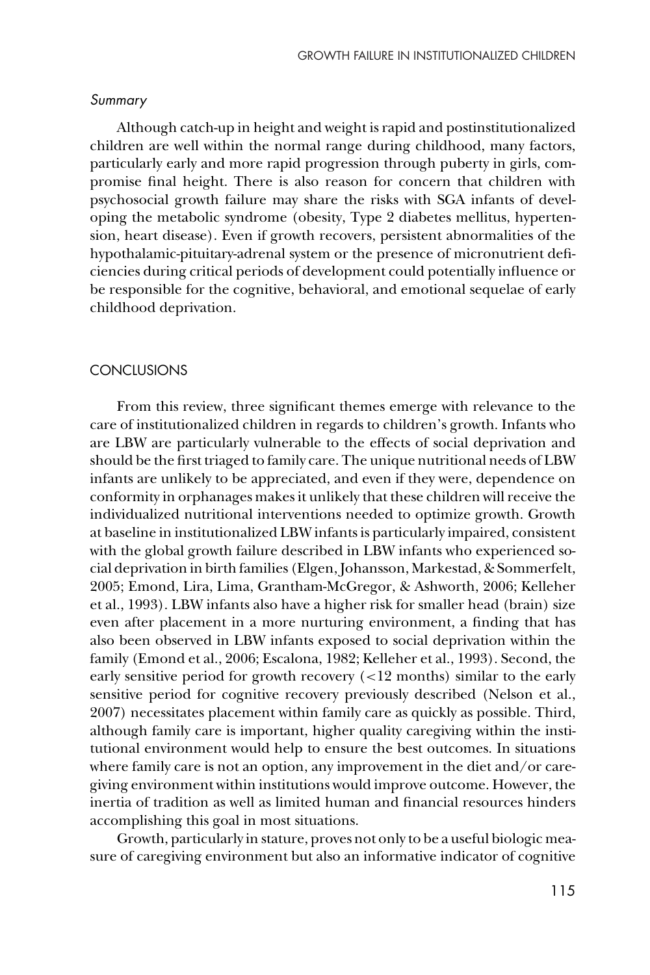#### *Summary*

Although catch-up in height and weight is rapid and postinstitutionalized children are well within the normal range during childhood, many factors, particularly early and more rapid progression through puberty in girls, compromise final height. There is also reason for concern that children with psychosocial growth failure may share the risks with SGA infants of developing the metabolic syndrome (obesity, Type 2 diabetes mellitus, hypertension, heart disease). Even if growth recovers, persistent abnormalities of the hypothalamic-pituitary-adrenal system or the presence of micronutrient deficiencies during critical periods of development could potentially influence or be responsible for the cognitive, behavioral, and emotional sequelae of early childhood deprivation.

#### CONCLUSIONS

From this review, three significant themes emerge with relevance to the care of institutionalized children in regards to children's growth. Infants who are LBW are particularly vulnerable to the effects of social deprivation and should be the first triaged to family care. The unique nutritional needs of LBW infants are unlikely to be appreciated, and even if they were, dependence on conformity in orphanages makes it unlikely that these children will receive the individualized nutritional interventions needed to optimize growth. Growth at baseline in institutionalized LBW infants is particularly impaired, consistent with the global growth failure described in LBW infants who experienced social deprivation in birth families (Elgen, Johansson, Markestad, & Sommerfelt, 2005; Emond, Lira, Lima, Grantham-McGregor, & Ashworth, 2006; Kelleher et al., 1993). LBW infants also have a higher risk for smaller head (brain) size even after placement in a more nurturing environment, a finding that has also been observed in LBW infants exposed to social deprivation within the family (Emond et al., 2006; Escalona, 1982; Kelleher et al., 1993). Second, the early sensitive period for growth recovery (<12 months) similar to the early sensitive period for cognitive recovery previously described (Nelson et al., 2007) necessitates placement within family care as quickly as possible. Third, although family care is important, higher quality caregiving within the institutional environment would help to ensure the best outcomes. In situations where family care is not an option, any improvement in the diet and/or caregiving environment within institutions would improve outcome. However, the inertia of tradition as well as limited human and financial resources hinders accomplishing this goal in most situations.

Growth, particularly in stature, proves not only to be a useful biologic measure of caregiving environment but also an informative indicator of cognitive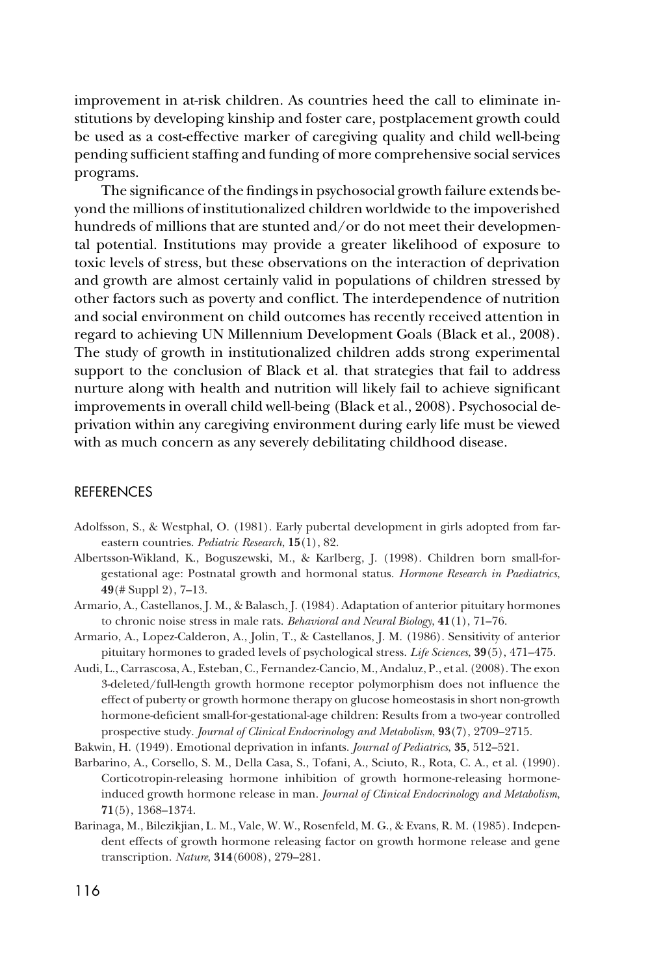improvement in at-risk children. As countries heed the call to eliminate institutions by developing kinship and foster care, postplacement growth could be used as a cost-effective marker of caregiving quality and child well-being pending sufficient staffing and funding of more comprehensive social services programs.

The significance of the findings in psychosocial growth failure extends beyond the millions of institutionalized children worldwide to the impoverished hundreds of millions that are stunted and/or do not meet their developmental potential. Institutions may provide a greater likelihood of exposure to toxic levels of stress, but these observations on the interaction of deprivation and growth are almost certainly valid in populations of children stressed by other factors such as poverty and conflict. The interdependence of nutrition and social environment on child outcomes has recently received attention in regard to achieving UN Millennium Development Goals (Black et al., 2008). The study of growth in institutionalized children adds strong experimental support to the conclusion of Black et al. that strategies that fail to address nurture along with health and nutrition will likely fail to achieve significant improvements in overall child well-being (Black et al., 2008). Psychosocial deprivation within any caregiving environment during early life must be viewed with as much concern as any severely debilitating childhood disease.

## **REFERENCES**

- Adolfsson, S., & Westphal, O. (1981). Early pubertal development in girls adopted from fareastern countries. *Pediatric Research*, **15**(1), 82.
- Albertsson-Wikland, K., Boguszewski, M., & Karlberg, J. (1998). Children born small-forgestational age: Postnatal growth and hormonal status. *Hormone Research in Paediatrics*, **49**(# Suppl 2), 7–13.
- Armario, A., Castellanos, J. M., & Balasch, J. (1984). Adaptation of anterior pituitary hormones to chronic noise stress in male rats. *Behavioral and Neural Biology*, **41**(1), 71–76.
- Armario, A., Lopez-Calderon, A., Jolin, T., & Castellanos, J. M. (1986). Sensitivity of anterior pituitary hormones to graded levels of psychological stress. *Life Sciences*, **39**(5), 471–475.
- Audi, L., Carrascosa, A., Esteban, C., Fernandez-Cancio, M., Andaluz, P., et al. (2008). The exon 3-deleted/full-length growth hormone receptor polymorphism does not influence the effect of puberty or growth hormone therapy on glucose homeostasis in short non-growth hormone-deficient small-for-gestational-age children: Results from a two-year controlled prospective study. *Journal of Clinical Endocrinology and Metabolism*, **93**(7), 2709–2715.
- Bakwin, H. (1949). Emotional deprivation in infants. *Journal of Pediatrics*, **35**, 512–521.
- Barbarino, A., Corsello, S. M., Della Casa, S., Tofani, A., Sciuto, R., Rota, C. A., et al. (1990). Corticotropin-releasing hormone inhibition of growth hormone-releasing hormoneinduced growth hormone release in man. *Journal of Clinical Endocrinology and Metabolism*, **71**(5), 1368–1374.
- Barinaga, M., Bilezikjian, L. M., Vale, W. W., Rosenfeld, M. G., & Evans, R. M. (1985). Independent effects of growth hormone releasing factor on growth hormone release and gene transcription. *Nature*, **314**(6008), 279–281.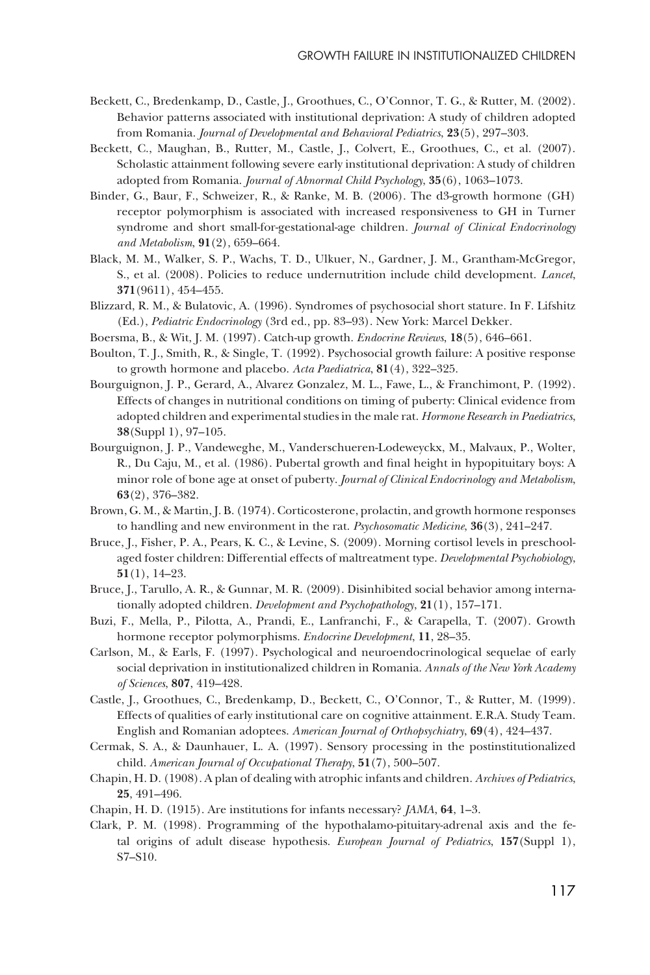- Beckett, C., Bredenkamp, D., Castle, J., Groothues, C., O'Connor, T. G., & Rutter, M. (2002). Behavior patterns associated with institutional deprivation: A study of children adopted from Romania. *Journal of Developmental and Behavioral Pediatrics*, **23**(5), 297–303.
- Beckett, C., Maughan, B., Rutter, M., Castle, J., Colvert, E., Groothues, C., et al. (2007). Scholastic attainment following severe early institutional deprivation: A study of children adopted from Romania. *Journal of Abnormal Child Psychology*, **35**(6), 1063–1073.
- Binder, G., Baur, F., Schweizer, R., & Ranke, M. B. (2006). The d3-growth hormone (GH) receptor polymorphism is associated with increased responsiveness to GH in Turner syndrome and short small-for-gestational-age children. *Journal of Clinical Endocrinology and Metabolism*, **91**(2), 659–664.
- Black, M. M., Walker, S. P., Wachs, T. D., Ulkuer, N., Gardner, J. M., Grantham-McGregor, S., et al. (2008). Policies to reduce undernutrition include child development. *Lancet*, **371**(9611), 454–455.
- Blizzard, R. M., & Bulatovic, A. (1996). Syndromes of psychosocial short stature. In F. Lifshitz (Ed.), *Pediatric Endocrinology* (3rd ed., pp. 83–93). New York: Marcel Dekker.
- Boersma, B., & Wit, J. M. (1997). Catch-up growth. *Endocrine Reviews*, **18**(5), 646–661.
- Boulton, T. J., Smith, R., & Single, T. (1992). Psychosocial growth failure: A positive response to growth hormone and placebo. *Acta Paediatrica*, **81**(4), 322–325.
- Bourguignon, J. P., Gerard, A., Alvarez Gonzalez, M. L., Fawe, L., & Franchimont, P. (1992). Effects of changes in nutritional conditions on timing of puberty: Clinical evidence from adopted children and experimental studies in the male rat. *Hormone Research in Paediatrics*, **38**(Suppl 1), 97–105.
- Bourguignon, J. P., Vandeweghe, M., Vanderschueren-Lodeweyckx, M., Malvaux, P., Wolter, R., Du Caju, M., et al. (1986). Pubertal growth and final height in hypopituitary boys: A minor role of bone age at onset of puberty. *Journal of Clinical Endocrinology and Metabolism*, **63**(2), 376–382.
- Brown, G. M., & Martin, J. B. (1974). Corticosterone, prolactin, and growth hormone responses to handling and new environment in the rat. *Psychosomatic Medicine*, **36**(3), 241–247.
- Bruce, J., Fisher, P. A., Pears, K. C., & Levine, S. (2009). Morning cortisol levels in preschoolaged foster children: Differential effects of maltreatment type. *Developmental Psychobiology*, **51**(1), 14–23.
- Bruce, J., Tarullo, A. R., & Gunnar, M. R. (2009). Disinhibited social behavior among internationally adopted children. *Development and Psychopathology*, **21**(1), 157–171.
- Buzi, F., Mella, P., Pilotta, A., Prandi, E., Lanfranchi, F., & Carapella, T. (2007). Growth hormone receptor polymorphisms. *Endocrine Development*, **11**, 28–35.
- Carlson, M., & Earls, F. (1997). Psychological and neuroendocrinological sequelae of early social deprivation in institutionalized children in Romania. *Annals of the New York Academy of Sciences*, **807**, 419–428.
- Castle, J., Groothues, C., Bredenkamp, D., Beckett, C., O'Connor, T., & Rutter, M. (1999). Effects of qualities of early institutional care on cognitive attainment. E.R.A. Study Team. English and Romanian adoptees. *American Journal of Orthopsychiatry*, **69**(4), 424–437.
- Cermak, S. A., & Daunhauer, L. A. (1997). Sensory processing in the postinstitutionalized child. *American Journal of Occupational Therapy*, **51**(7), 500–507.
- Chapin, H. D. (1908). A plan of dealing with atrophic infants and children. *Archives of Pediatrics*, **25**, 491–496.
- Chapin, H. D. (1915). Are institutions for infants necessary? *JAMA*, **64**, 1–3.
- Clark, P. M. (1998). Programming of the hypothalamo-pituitary-adrenal axis and the fetal origins of adult disease hypothesis. *European Journal of Pediatrics*, **157**(Suppl 1), S7–S10.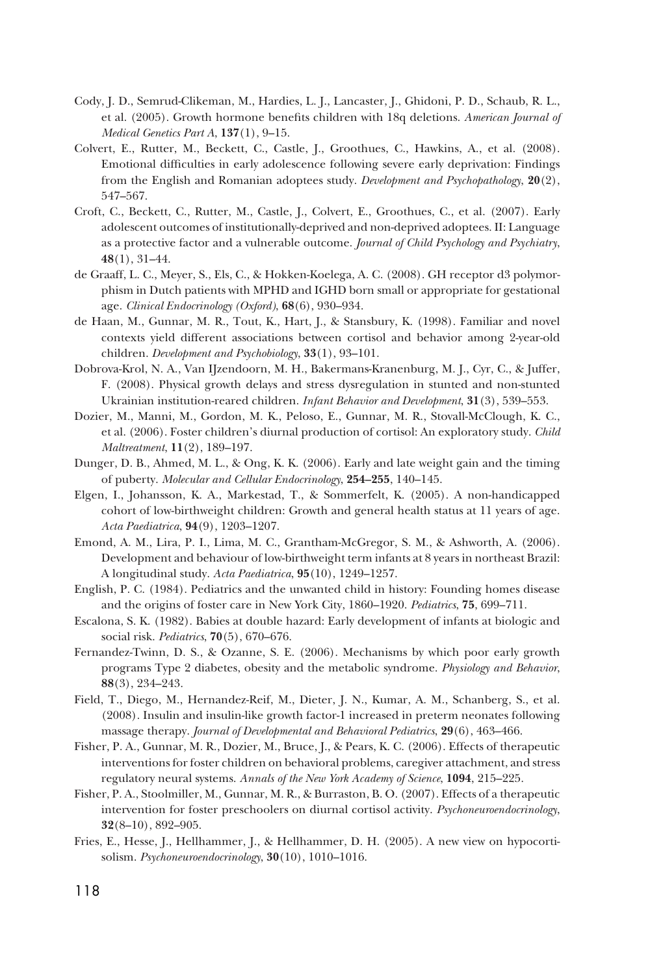- Cody, J. D., Semrud-Clikeman, M., Hardies, L. J., Lancaster, J., Ghidoni, P. D., Schaub, R. L., et al. (2005). Growth hormone benefits children with 18q deletions. *American Journal of Medical Genetics Part A*, **137**(1), 9–15.
- Colvert, E., Rutter, M., Beckett, C., Castle, J., Groothues, C., Hawkins, A., et al. (2008). Emotional difficulties in early adolescence following severe early deprivation: Findings from the English and Romanian adoptees study. *Development and Psychopathology*, **20**(2), 547–567.
- Croft, C., Beckett, C., Rutter, M., Castle, J., Colvert, E., Groothues, C., et al. (2007). Early adolescent outcomes of institutionally-deprived and non-deprived adoptees. II: Language as a protective factor and a vulnerable outcome. *Journal of Child Psychology and Psychiatry*, **48**(1), 31–44.
- de Graaff, L. C., Meyer, S., Els, C., & Hokken-Koelega, A. C. (2008). GH receptor d3 polymorphism in Dutch patients with MPHD and IGHD born small or appropriate for gestational age. *Clinical Endocrinology (Oxford)*, **68**(6), 930–934.
- de Haan, M., Gunnar, M. R., Tout, K., Hart, J., & Stansbury, K. (1998). Familiar and novel contexts yield different associations between cortisol and behavior among 2-year-old children. *Development and Psychobiology*, **33**(1), 93–101.
- Dobrova-Krol, N. A., Van IJzendoorn, M. H., Bakermans-Kranenburg, M. J., Cyr, C., & Juffer, F. (2008). Physical growth delays and stress dysregulation in stunted and non-stunted Ukrainian institution-reared children. *Infant Behavior and Development*, **31**(3), 539–553.
- Dozier, M., Manni, M., Gordon, M. K., Peloso, E., Gunnar, M. R., Stovall-McClough, K. C., et al. (2006). Foster children's diurnal production of cortisol: An exploratory study. *Child Maltreatment*, **11**(2), 189–197.
- Dunger, D. B., Ahmed, M. L., & Ong, K. K. (2006). Early and late weight gain and the timing of puberty. *Molecular and Cellular Endocrinology*, **254–255**, 140–145.
- Elgen, I., Johansson, K. A., Markestad, T., & Sommerfelt, K. (2005). A non-handicapped cohort of low-birthweight children: Growth and general health status at 11 years of age. *Acta Paediatrica*, **94**(9), 1203–1207.
- Emond, A. M., Lira, P. I., Lima, M. C., Grantham-McGregor, S. M., & Ashworth, A. (2006). Development and behaviour of low-birthweight term infants at 8 years in northeast Brazil: A longitudinal study. *Acta Paediatrica*, **95**(10), 1249–1257.
- English, P. C. (1984). Pediatrics and the unwanted child in history: Founding homes disease and the origins of foster care in New York City, 1860–1920. *Pediatrics*, **75**, 699–711.
- Escalona, S. K. (1982). Babies at double hazard: Early development of infants at biologic and social risk. *Pediatrics*, **70**(5), 670–676.
- Fernandez-Twinn, D. S., & Ozanne, S. E. (2006). Mechanisms by which poor early growth programs Type 2 diabetes, obesity and the metabolic syndrome. *Physiology and Behavior*, **88**(3), 234–243.
- Field, T., Diego, M., Hernandez-Reif, M., Dieter, J. N., Kumar, A. M., Schanberg, S., et al. (2008). Insulin and insulin-like growth factor-1 increased in preterm neonates following massage therapy. *Journal of Developmental and Behavioral Pediatrics*, **29**(6), 463–466.
- Fisher, P. A., Gunnar, M. R., Dozier, M., Bruce, J., & Pears, K. C. (2006). Effects of therapeutic interventions for foster children on behavioral problems, caregiver attachment, and stress regulatory neural systems. *Annals of the New York Academy of Science*, **1094**, 215–225.
- Fisher, P. A., Stoolmiller, M., Gunnar, M. R., & Burraston, B. O. (2007). Effects of a therapeutic intervention for foster preschoolers on diurnal cortisol activity. *Psychoneuroendocrinology*, **32**(8–10), 892–905.
- Fries, E., Hesse, J., Hellhammer, J., & Hellhammer, D. H. (2005). A new view on hypocortisolism. *Psychoneuroendocrinology*, **30**(10), 1010–1016.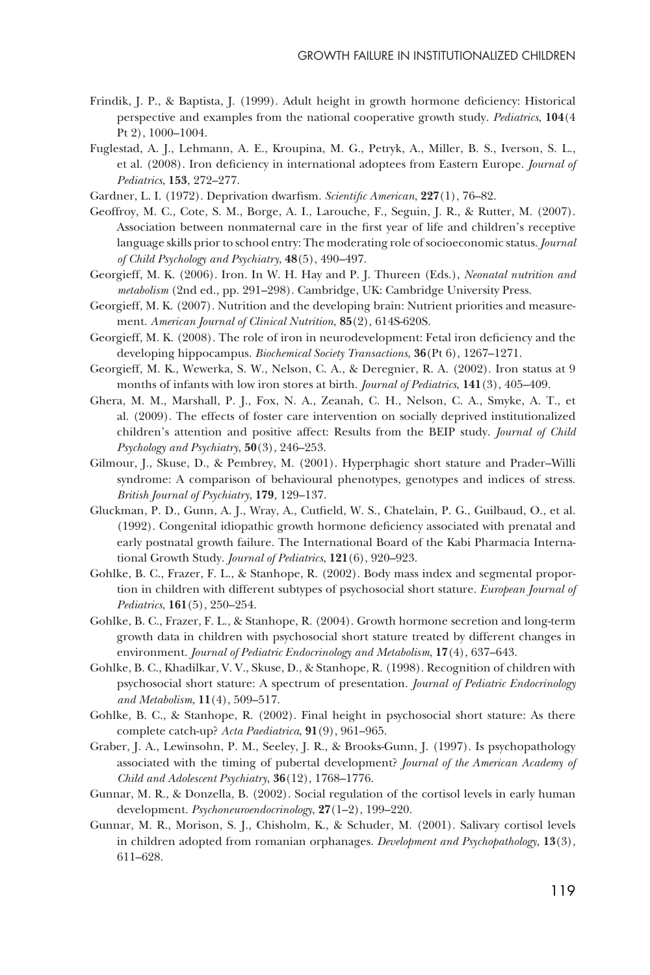- Frindik, J. P., & Baptista, J. (1999). Adult height in growth hormone deficiency: Historical perspective and examples from the national cooperative growth study. *Pediatrics*, **104**(4 Pt 2), 1000–1004.
- Fuglestad, A. J., Lehmann, A. E., Kroupina, M. G., Petryk, A., Miller, B. S., Iverson, S. L., et al. (2008). Iron deficiency in international adoptees from Eastern Europe. *Journal of Pediatrics*, **153**, 272–277.
- Gardner, L. I. (1972). Deprivation dwarfism. *Scientific American*, **227**(1), 76–82.
- Geoffroy, M. C., Cote, S. M., Borge, A. I., Larouche, F., Seguin, J. R., & Rutter, M. (2007). Association between nonmaternal care in the first year of life and children's receptive language skills prior to school entry: The moderating role of socioeconomic status. *Journal of Child Psychology and Psychiatry*, **48**(5), 490–497.
- Georgieff, M. K. (2006). Iron. In W. H. Hay and P. J. Thureen (Eds.), *Neonatal nutrition and metabolism* (2nd ed., pp. 291–298). Cambridge, UK: Cambridge University Press.
- Georgieff, M. K. (2007). Nutrition and the developing brain: Nutrient priorities and measurement. *American Journal of Clinical Nutrition*, **85**(2), 614S-620S.
- Georgieff, M. K. (2008). The role of iron in neurodevelopment: Fetal iron deficiency and the developing hippocampus. *Biochemical Society Transactions*, **36**(Pt 6), 1267–1271.
- Georgieff, M. K., Wewerka, S. W., Nelson, C. A., & Deregnier, R. A. (2002). Iron status at 9 months of infants with low iron stores at birth. *Journal of Pediatrics*, **141**(3), 405–409.
- Ghera, M. M., Marshall, P. J., Fox, N. A., Zeanah, C. H., Nelson, C. A., Smyke, A. T., et al. (2009). The effects of foster care intervention on socially deprived institutionalized children's attention and positive affect: Results from the BEIP study. *Journal of Child Psychology and Psychiatry*, **50**(3), 246–253.
- Gilmour, J., Skuse, D., & Pembrey, M. (2001). Hyperphagic short stature and Prader–Willi syndrome: A comparison of behavioural phenotypes, genotypes and indices of stress. *British Journal of Psychiatry*, **179**, 129–137.
- Gluckman, P. D., Gunn, A. J., Wray, A., Cutfield, W. S., Chatelain, P. G., Guilbaud, O., et al. (1992). Congenital idiopathic growth hormone deficiency associated with prenatal and early postnatal growth failure. The International Board of the Kabi Pharmacia International Growth Study. *Journal of Pediatrics*, **121**(6), 920–923.
- Gohlke, B. C., Frazer, F. L., & Stanhope, R. (2002). Body mass index and segmental proportion in children with different subtypes of psychosocial short stature. *European Journal of Pediatrics*, **161**(5), 250–254.
- Gohlke, B. C., Frazer, F. L., & Stanhope, R. (2004). Growth hormone secretion and long-term growth data in children with psychosocial short stature treated by different changes in environment. *Journal of Pediatric Endocrinology and Metabolism*, **17**(4), 637–643.
- Gohlke, B. C., Khadilkar, V. V., Skuse, D., & Stanhope, R. (1998). Recognition of children with psychosocial short stature: A spectrum of presentation. *Journal of Pediatric Endocrinology and Metabolism*, **11**(4), 509–517.
- Gohlke, B. C., & Stanhope, R. (2002). Final height in psychosocial short stature: As there complete catch-up? *Acta Paediatrica*, **91**(9), 961–965.
- Graber, J. A., Lewinsohn, P. M., Seeley, J. R., & Brooks-Gunn, J. (1997). Is psychopathology associated with the timing of pubertal development? *Journal of the American Academy of Child and Adolescent Psychiatry*, **36**(12), 1768–1776.
- Gunnar, M. R., & Donzella, B. (2002). Social regulation of the cortisol levels in early human development. *Psychoneuroendocrinology*, **27**(1–2), 199–220.
- Gunnar, M. R., Morison, S. J., Chisholm, K., & Schuder, M. (2001). Salivary cortisol levels in children adopted from romanian orphanages. *Development and Psychopathology*, **13**(3), 611–628.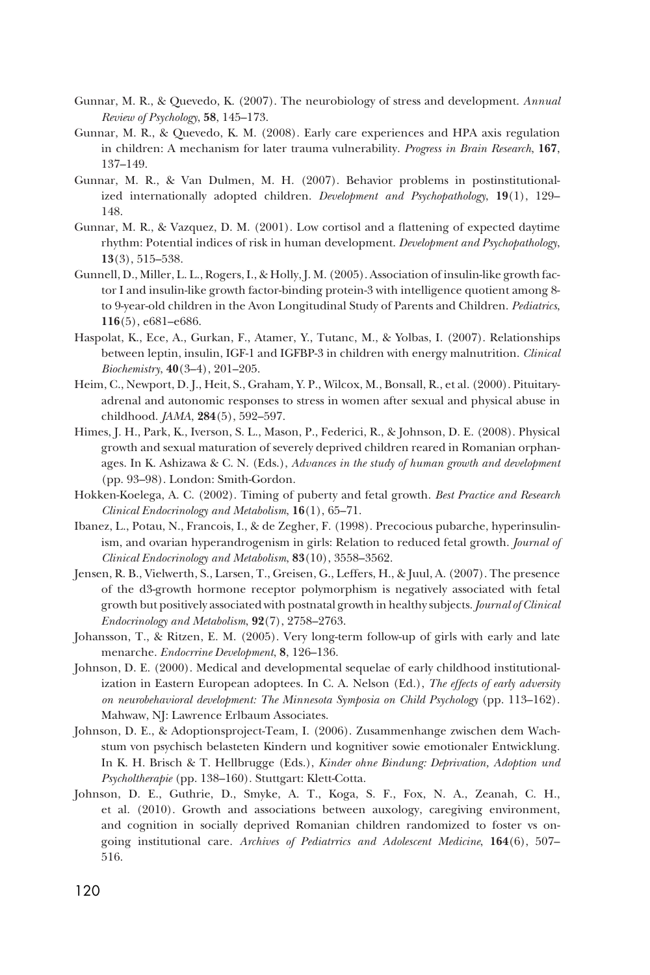- Gunnar, M. R., & Quevedo, K. (2007). The neurobiology of stress and development. *Annual Review of Psychology*, **58**, 145–173.
- Gunnar, M. R., & Quevedo, K. M. (2008). Early care experiences and HPA axis regulation in children: A mechanism for later trauma vulnerability. *Progress in Brain Research*, **167**, 137–149.
- Gunnar, M. R., & Van Dulmen, M. H. (2007). Behavior problems in postinstitutionalized internationally adopted children. *Development and Psychopathology*, **19**(1), 129– 148.
- Gunnar, M. R., & Vazquez, D. M. (2001). Low cortisol and a flattening of expected daytime rhythm: Potential indices of risk in human development. *Development and Psychopathology*, **13**(3), 515–538.
- Gunnell, D., Miller, L. L., Rogers, I., & Holly, J. M. (2005). Association of insulin-like growth factor I and insulin-like growth factor-binding protein-3 with intelligence quotient among 8 to 9-year-old children in the Avon Longitudinal Study of Parents and Children. *Pediatrics*, **116**(5), e681–e686.
- Haspolat, K., Ece, A., Gurkan, F., Atamer, Y., Tutanc, M., & Yolbas, I. (2007). Relationships between leptin, insulin, IGF-1 and IGFBP-3 in children with energy malnutrition. *Clinical Biochemistry*, **40**(3–4), 201–205.
- Heim, C., Newport, D. J., Heit, S., Graham, Y. P., Wilcox, M., Bonsall, R., et al. (2000). Pituitaryadrenal and autonomic responses to stress in women after sexual and physical abuse in childhood. *JAMA*, **284**(5), 592–597.
- Himes, J. H., Park, K., Iverson, S. L., Mason, P., Federici, R., & Johnson, D. E. (2008). Physical growth and sexual maturation of severely deprived children reared in Romanian orphanages. In K. Ashizawa & C. N. (Eds.), *Advances in the study of human growth and development* (pp. 93–98). London: Smith-Gordon.
- Hokken-Koelega, A. C. (2002). Timing of puberty and fetal growth. *Best Practice and Research Clinical Endocrinology and Metabolism*, **16**(1), 65–71.
- Ibanez, L., Potau, N., Francois, I., & de Zegher, F. (1998). Precocious pubarche, hyperinsulinism, and ovarian hyperandrogenism in girls: Relation to reduced fetal growth. *Journal of Clinical Endocrinology and Metabolism*, **83**(10), 3558–3562.
- Jensen, R. B., Vielwerth, S., Larsen, T., Greisen, G., Leffers, H., & Juul, A. (2007). The presence of the d3-growth hormone receptor polymorphism is negatively associated with fetal growth but positively associated with postnatal growth in healthy subjects. *Journal of Clinical Endocrinology and Metabolism*, **92**(7), 2758–2763.
- Johansson, T., & Ritzen, E. M. (2005). Very long-term follow-up of girls with early and late menarche. *Endocrrine Development*, **8**, 126–136.
- Johnson, D. E. (2000). Medical and developmental sequelae of early childhood institutionalization in Eastern European adoptees. In C. A. Nelson (Ed.), *The effects of early adversity on neurobehavioral development: The Minnesota Symposia on Child Psychology* (pp. 113–162). Mahwaw, NJ: Lawrence Erlbaum Associates.
- Johnson, D. E., & Adoptionsproject-Team, I. (2006). Zusammenhange zwischen dem Wachstum von psychisch belasteten Kindern und kognitiver sowie emotionaler Entwicklung. In K. H. Brisch & T. Hellbrugge (Eds.), *Kinder ohne Bindung: Deprivation, Adoption und Psycholtherapie* (pp. 138–160). Stuttgart: Klett-Cotta.
- Johnson, D. E., Guthrie, D., Smyke, A. T., Koga, S. F., Fox, N. A., Zeanah, C. H., et al. (2010). Growth and associations between auxology, caregiving environment, and cognition in socially deprived Romanian children randomized to foster vs ongoing institutional care. *Archives of Pediatrrics and Adolescent Medicine*, **164**(6), 507– 516.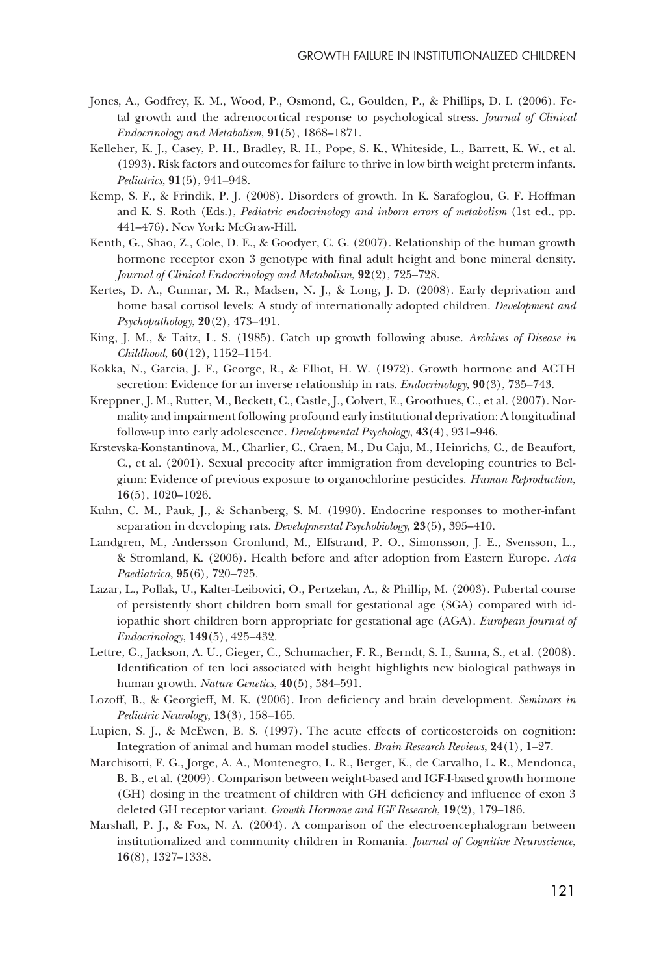- Jones, A., Godfrey, K. M., Wood, P., Osmond, C., Goulden, P., & Phillips, D. I. (2006). Fetal growth and the adrenocortical response to psychological stress. *Journal of Clinical Endocrinology and Metabolism*, **91**(5), 1868–1871.
- Kelleher, K. J., Casey, P. H., Bradley, R. H., Pope, S. K., Whiteside, L., Barrett, K. W., et al. (1993). Risk factors and outcomes for failure to thrive in low birth weight preterm infants. *Pediatrics*, **91**(5), 941–948.
- Kemp, S. F., & Frindik, P. J. (2008). Disorders of growth. In K. Sarafoglou, G. F. Hoffman and K. S. Roth (Eds.), *Pediatric endocrinology and inborn errors of metabolism* (1st ed., pp. 441–476). New York: McGraw-Hill.
- Kenth, G., Shao, Z., Cole, D. E., & Goodyer, C. G. (2007). Relationship of the human growth hormone receptor exon 3 genotype with final adult height and bone mineral density. *Journal of Clinical Endocrinology and Metabolism*, **92**(2), 725–728.
- Kertes, D. A., Gunnar, M. R., Madsen, N. J., & Long, J. D. (2008). Early deprivation and home basal cortisol levels: A study of internationally adopted children. *Development and Psychopathology*, **20**(2), 473–491.
- King, J. M., & Taitz, L. S. (1985). Catch up growth following abuse. *Archives of Disease in Childhood*, **60**(12), 1152–1154.
- Kokka, N., Garcia, J. F., George, R., & Elliot, H. W. (1972). Growth hormone and ACTH secretion: Evidence for an inverse relationship in rats. *Endocrinology*, **90**(3), 735–743.
- Kreppner, J. M., Rutter, M., Beckett, C., Castle, J., Colvert, E., Groothues, C., et al. (2007). Normality and impairment following profound early institutional deprivation: A longitudinal follow-up into early adolescence. *Developmental Psychology*, **43**(4), 931–946.
- Krstevska-Konstantinova, M., Charlier, C., Craen, M., Du Caju, M., Heinrichs, C., de Beaufort, C., et al. (2001). Sexual precocity after immigration from developing countries to Belgium: Evidence of previous exposure to organochlorine pesticides. *Human Reproduction*, **16**(5), 1020–1026.
- Kuhn, C. M., Pauk, J., & Schanberg, S. M. (1990). Endocrine responses to mother-infant separation in developing rats. *Developmental Psychobiology*, **23**(5), 395–410.
- Landgren, M., Andersson Gronlund, M., Elfstrand, P. O., Simonsson, J. E., Svensson, L., & Stromland, K. (2006). Health before and after adoption from Eastern Europe. *Acta Paediatrica*, **95**(6), 720–725.
- Lazar, L., Pollak, U., Kalter-Leibovici, O., Pertzelan, A., & Phillip, M. (2003). Pubertal course of persistently short children born small for gestational age (SGA) compared with idiopathic short children born appropriate for gestational age (AGA). *European Journal of Endocrinology*, **149**(5), 425–432.
- Lettre, G., Jackson, A. U., Gieger, C., Schumacher, F. R., Berndt, S. I., Sanna, S., et al. (2008). Identification of ten loci associated with height highlights new biological pathways in human growth. *Nature Genetics*, **40**(5), 584–591.
- Lozoff, B., & Georgieff, M. K. (2006). Iron deficiency and brain development. *Seminars in Pediatric Neurology*, **13**(3), 158–165.
- Lupien, S. J., & McEwen, B. S. (1997). The acute effects of corticosteroids on cognition: Integration of animal and human model studies. *Brain Research Reviews*, **24**(1), 1–27.
- Marchisotti, F. G., Jorge, A. A., Montenegro, L. R., Berger, K., de Carvalho, L. R., Mendonca, B. B., et al. (2009). Comparison between weight-based and IGF-I-based growth hormone (GH) dosing in the treatment of children with GH deficiency and influence of exon 3 deleted GH receptor variant. *Growth Hormone and IGF Research*, **19**(2), 179–186.
- Marshall, P. J., & Fox, N. A. (2004). A comparison of the electroencephalogram between institutionalized and community children in Romania. *Journal of Cognitive Neuroscience*, **16**(8), 1327–1338.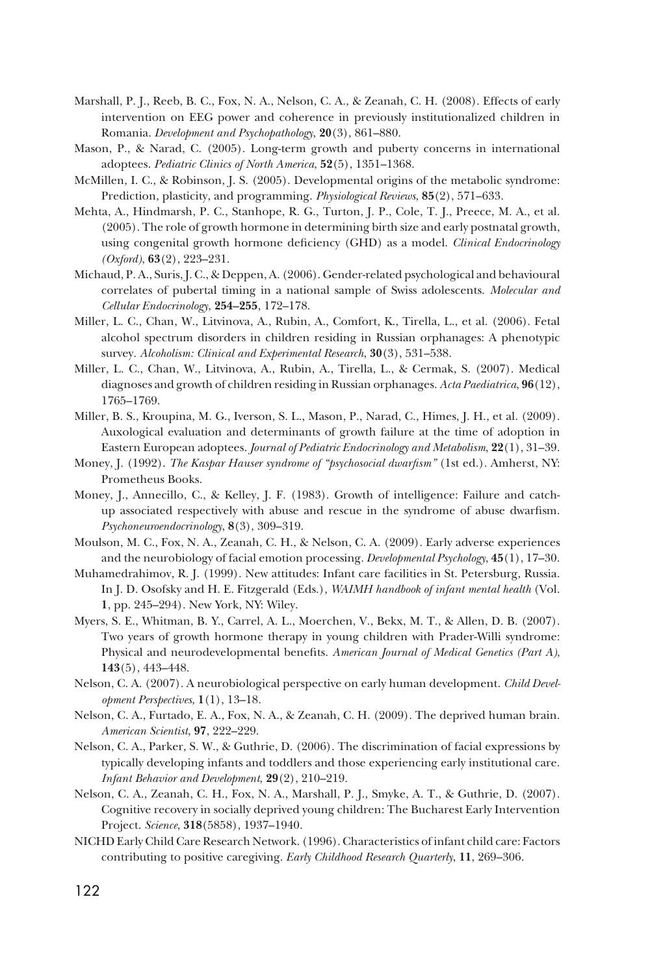- Marshall, P. J., Reeb, B. C., Fox, N. A., Nelson, C. A., & Zeanah, C. H. (2008). Effects of early intervention on EEG power and coherence in previously institutionalized children in Romania. *Development and Psychopathology*, **20**(3), 861–880.
- Mason, P., & Narad, C. (2005). Long-term growth and puberty concerns in international adoptees. *Pediatric Clinics of North America*, **52**(5), 1351–1368.
- McMillen, I. C., & Robinson, J. S. (2005). Developmental origins of the metabolic syndrome: Prediction, plasticity, and programming. *Physiological Reviews*, **85**(2), 571–633.
- Mehta, A., Hindmarsh, P. C., Stanhope, R. G., Turton, J. P., Cole, T. J., Preece, M. A., et al. (2005). The role of growth hormone in determining birth size and early postnatal growth, using congenital growth hormone deficiency (GHD) as a model. *Clinical Endocrinology (Oxford)*, **63**(2), 223–231.
- Michaud, P. A., Suris, J. C., & Deppen, A. (2006). Gender-related psychological and behavioural correlates of pubertal timing in a national sample of Swiss adolescents. *Molecular and Cellular Endocrinology*, **254–255**, 172–178.
- Miller, L. C., Chan, W., Litvinova, A., Rubin, A., Comfort, K., Tirella, L., et al. (2006). Fetal alcohol spectrum disorders in children residing in Russian orphanages: A phenotypic survey. *Alcoholism: Clinical and Experimental Research*, **30**(3), 531–538.
- Miller, L. C., Chan, W., Litvinova, A., Rubin, A., Tirella, L., & Cermak, S. (2007). Medical diagnoses and growth of children residing in Russian orphanages. *Acta Paediatrica*, **96**(12), 1765–1769.
- Miller, B. S., Kroupina, M. G., Iverson, S. L., Mason, P., Narad, C., Himes, J. H., et al. (2009). Auxological evaluation and determinants of growth failure at the time of adoption in Eastern European adoptees. *Journal of Pediatric Endocrinology and Metabolism*, **22**(1), 31–39.
- Money, J. (1992). *The Kaspar Hauser syndrome of "psychosocial dwarfism"* (1st ed.). Amherst, NY: Prometheus Books.
- Money, J., Annecillo, C., & Kelley, J. F. (1983). Growth of intelligence: Failure and catchup associated respectively with abuse and rescue in the syndrome of abuse dwarfism. *Psychoneuroendocrinology*, **8**(3), 309–319.
- Moulson, M. C., Fox, N. A., Zeanah, C. H., & Nelson, C. A. (2009). Early adverse experiences and the neurobiology of facial emotion processing. *Developmental Psychology*, **45**(1), 17–30.
- Muhamedrahimov, R. J. (1999). New attitudes: Infant care facilities in St. Petersburg, Russia. In J. D. Osofsky and H. E. Fitzgerald (Eds.), *WAIMH handbook of infant mental health* (Vol. **1**, pp. 245–294). New York, NY: Wiley.
- Myers, S. E., Whitman, B. Y., Carrel, A. L., Moerchen, V., Bekx, M. T., & Allen, D. B. (2007). Two years of growth hormone therapy in young children with Prader-Willi syndrome: Physical and neurodevelopmental benefits. *American Journal of Medical Genetics (Part A)*, **143**(5), 443–448.
- Nelson, C. A. (2007). A neurobiological perspective on early human development. *Child Development Perspectives*, **1**(1), 13–18.
- Nelson, C. A., Furtado, E. A., Fox, N. A., & Zeanah, C. H. (2009). The deprived human brain. *American Scientist*, **97**, 222–229.
- Nelson, C. A., Parker, S. W., & Guthrie, D. (2006). The discrimination of facial expressions by typically developing infants and toddlers and those experiencing early institutional care. *Infant Behavior and Development*, **29**(2), 210–219.
- Nelson, C. A., Zeanah, C. H., Fox, N. A., Marshall, P. J., Smyke, A. T., & Guthrie, D. (2007). Cognitive recovery in socially deprived young children: The Bucharest Early Intervention Project. *Science*, **318**(5858), 1937–1940.
- NICHD Early Child Care Research Network. (1996). Characteristics of infant child care: Factors contributing to positive caregiving. *Early Childhood Research Quarterly*, **11**, 269–306.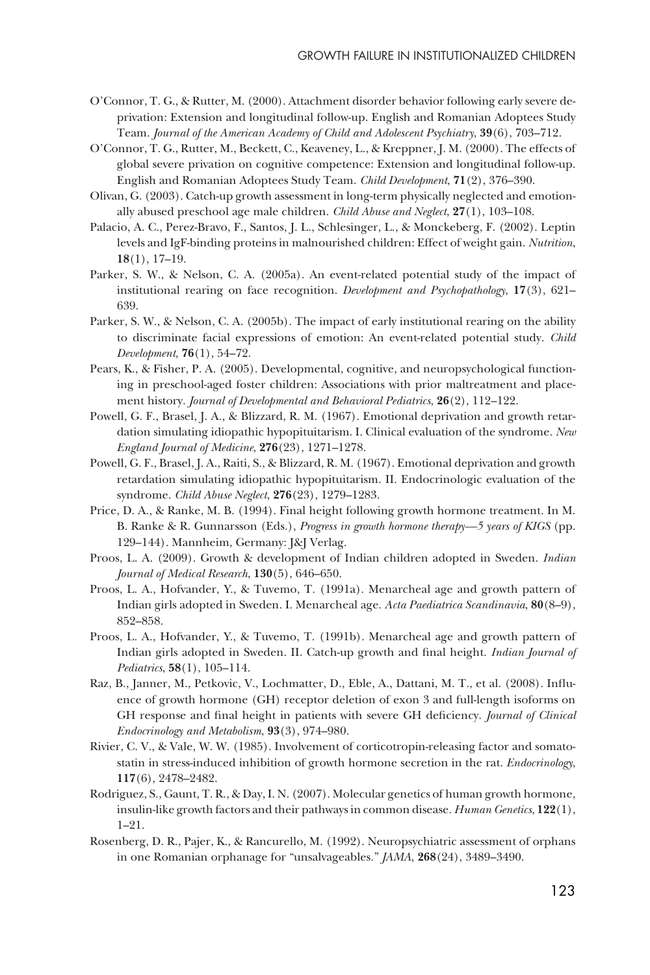- O'Connor, T. G., & Rutter, M. (2000). Attachment disorder behavior following early severe deprivation: Extension and longitudinal follow-up. English and Romanian Adoptees Study Team. *Journal of the American Academy of Child and Adolescent Psychiatry*, **39**(6), 703–712.
- O'Connor, T. G., Rutter, M., Beckett, C., Keaveney, L., & Kreppner, J. M. (2000). The effects of global severe privation on cognitive competence: Extension and longitudinal follow-up. English and Romanian Adoptees Study Team. *Child Development*, **71**(2), 376–390.
- Olivan, G. (2003). Catch-up growth assessment in long-term physically neglected and emotionally abused preschool age male children. *Child Abuse and Neglect*, **27**(1), 103–108.
- Palacio, A. C., Perez-Bravo, F., Santos, J. L., Schlesinger, L., & Monckeberg, F. (2002). Leptin levels and IgF-binding proteins in malnourished children: Effect of weight gain. *Nutrition*, **18**(1), 17–19.
- Parker, S. W., & Nelson, C. A. (2005a). An event-related potential study of the impact of institutional rearing on face recognition. *Development and Psychopathology*, **17**(3), 621– 639.
- Parker, S. W., & Nelson, C. A. (2005b). The impact of early institutional rearing on the ability to discriminate facial expressions of emotion: An event-related potential study. *Child Development*, **76**(1), 54–72.
- Pears, K., & Fisher, P. A. (2005). Developmental, cognitive, and neuropsychological functioning in preschool-aged foster children: Associations with prior maltreatment and placement history. *Journal of Developmental and Behavioral Pediatrics*, **26**(2), 112–122.
- Powell, G. F., Brasel, J. A., & Blizzard, R. M. (1967). Emotional deprivation and growth retardation simulating idiopathic hypopituitarism. I. Clinical evaluation of the syndrome. *New England Journal of Medicine*, **276**(23), 1271–1278.
- Powell, G. F., Brasel, J. A., Raiti, S., & Blizzard, R. M. (1967). Emotional deprivation and growth retardation simulating idiopathic hypopituitarism. II. Endocrinologic evaluation of the syndrome. *Child Abuse Neglect*, **276**(23), 1279–1283.
- Price, D. A., & Ranke, M. B. (1994). Final height following growth hormone treatment. In M. B. Ranke & R. Gunnarsson (Eds.), *Progress in growth hormone therapy—5 years of KIGS* (pp. 129–144). Mannheim, Germany: J&J Verlag.
- Proos, L. A. (2009). Growth & development of Indian children adopted in Sweden. *Indian Journal of Medical Research*, **130**(5), 646–650.
- Proos, L. A., Hofvander, Y., & Tuvemo, T. (1991a). Menarcheal age and growth pattern of Indian girls adopted in Sweden. I. Menarcheal age. *Acta Paediatrica Scandinavia*, **80**(8–9), 852–858.
- Proos, L. A., Hofvander, Y., & Tuvemo, T. (1991b). Menarcheal age and growth pattern of Indian girls adopted in Sweden. II. Catch-up growth and final height. *Indian Journal of Pediatrics*, **58**(1), 105–114.
- Raz, B., Janner, M., Petkovic, V., Lochmatter, D., Eble, A., Dattani, M. T., et al. (2008). Influence of growth hormone (GH) receptor deletion of exon 3 and full-length isoforms on GH response and final height in patients with severe GH deficiency. *Journal of Clinical Endocrinology and Metabolism*, **93**(3), 974–980.
- Rivier, C. V., & Vale, W. W. (1985). Involvement of corticotropin-releasing factor and somatostatin in stress-induced inhibition of growth hormone secretion in the rat. *Endocrinology*, **117**(6), 2478–2482.
- Rodriguez, S., Gaunt, T. R., & Day, I. N. (2007). Molecular genetics of human growth hormone, insulin-like growth factors and their pathways in common disease. *Human Genetics*, **122**(1), 1–21.
- Rosenberg, D. R., Pajer, K., & Rancurello, M. (1992). Neuropsychiatric assessment of orphans in one Romanian orphanage for "unsalvageables." *JAMA*, **268**(24), 3489–3490.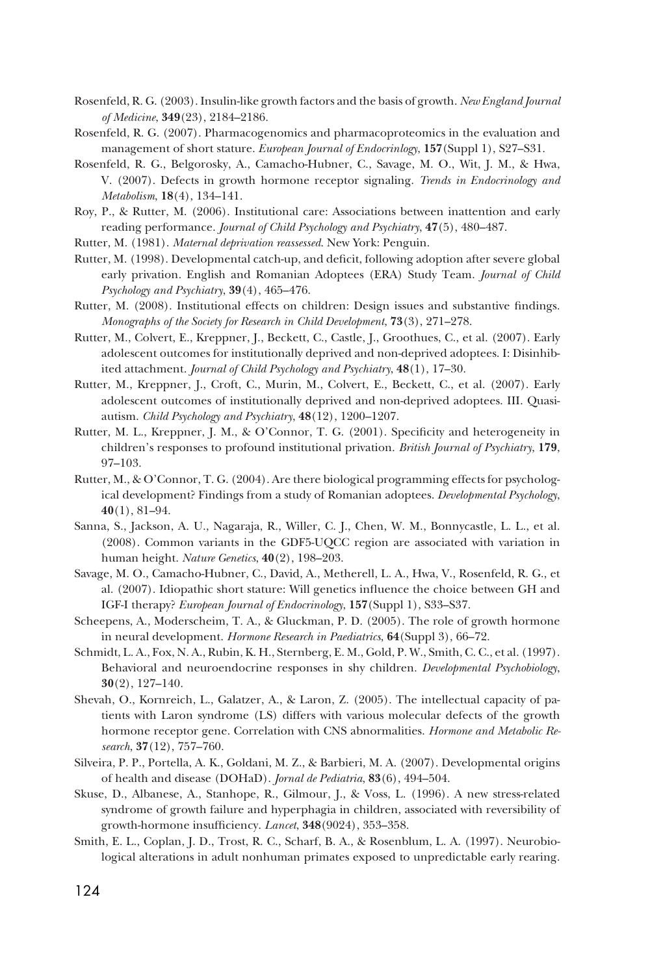- Rosenfeld, R. G. (2003). Insulin-like growth factors and the basis of growth. *New England Journal of Medicine*, **349**(23), 2184–2186.
- Rosenfeld, R. G. (2007). Pharmacogenomics and pharmacoproteomics in the evaluation and management of short stature. *European Journal of Endocrinlogy*, **157**(Suppl 1), S27–S31.
- Rosenfeld, R. G., Belgorosky, A., Camacho-Hubner, C., Savage, M. O., Wit, J. M., & Hwa, V. (2007). Defects in growth hormone receptor signaling. *Trends in Endocrinology and Metabolism*, **18**(4), 134–141.
- Roy, P., & Rutter, M. (2006). Institutional care: Associations between inattention and early reading performance. *Journal of Child Psychology and Psychiatry*, **47**(5), 480–487.
- Rutter, M. (1981). *Maternal deprivation reassessed*. New York: Penguin.
- Rutter, M. (1998). Developmental catch-up, and deficit, following adoption after severe global early privation. English and Romanian Adoptees (ERA) Study Team. *Journal of Child Psychology and Psychiatry*, **39**(4), 465–476.
- Rutter, M. (2008). Institutional effects on children: Design issues and substantive findings. *Monographs of the Society for Research in Child Development*, **73**(3), 271–278.
- Rutter, M., Colvert, E., Kreppner, J., Beckett, C., Castle, J., Groothues, C., et al. (2007). Early adolescent outcomes for institutionally deprived and non-deprived adoptees. I: Disinhibited attachment. *Journal of Child Psychology and Psychiatry*, **48**(1), 17–30.
- Rutter, M., Kreppner, J., Croft, C., Murin, M., Colvert, E., Beckett, C., et al. (2007). Early adolescent outcomes of institutionally deprived and non-deprived adoptees. III. Quasiautism. *Child Psychology and Psychiatry*, **48**(12), 1200–1207.
- Rutter, M. L., Kreppner, J. M., & O'Connor, T. G. (2001). Specificity and heterogeneity in children's responses to profound institutional privation. *British Journal of Psychiatry*, **179**, 97–103.
- Rutter, M., & O'Connor, T. G. (2004). Are there biological programming effects for psychological development? Findings from a study of Romanian adoptees. *Developmental Psychology*, **40**(1), 81–94.
- Sanna, S., Jackson, A. U., Nagaraja, R., Willer, C. J., Chen, W. M., Bonnycastle, L. L., et al. (2008). Common variants in the GDF5-UQCC region are associated with variation in human height. *Nature Genetics*, **40**(2), 198–203.
- Savage, M. O., Camacho-Hubner, C., David, A., Metherell, L. A., Hwa, V., Rosenfeld, R. G., et al. (2007). Idiopathic short stature: Will genetics influence the choice between GH and IGF-I therapy? *European Journal of Endocrinology*, **157**(Suppl 1), S33–S37.
- Scheepens, A., Moderscheim, T. A., & Gluckman, P. D. (2005). The role of growth hormone in neural development. *Hormone Research in Paediatrics*, **64**(Suppl 3), 66–72.
- Schmidt, L. A., Fox, N. A., Rubin, K. H., Sternberg, E. M., Gold, P. W., Smith, C. C., et al. (1997). Behavioral and neuroendocrine responses in shy children. *Developmental Psychobiology*, **30**(2), 127–140.
- Shevah, O., Kornreich, L., Galatzer, A., & Laron, Z. (2005). The intellectual capacity of patients with Laron syndrome (LS) differs with various molecular defects of the growth hormone receptor gene. Correlation with CNS abnormalities. *Hormone and Metabolic Research*, **37**(12), 757–760.
- Silveira, P. P., Portella, A. K., Goldani, M. Z., & Barbieri, M. A. (2007). Developmental origins of health and disease (DOHaD). *Jornal de Pediatria*, **83**(6), 494–504.
- Skuse, D., Albanese, A., Stanhope, R., Gilmour, J., & Voss, L. (1996). A new stress-related syndrome of growth failure and hyperphagia in children, associated with reversibility of growth-hormone insufficiency. *Lancet*, **348**(9024), 353–358.
- Smith, E. L., Coplan, J. D., Trost, R. C., Scharf, B. A., & Rosenblum, L. A. (1997). Neurobiological alterations in adult nonhuman primates exposed to unpredictable early rearing.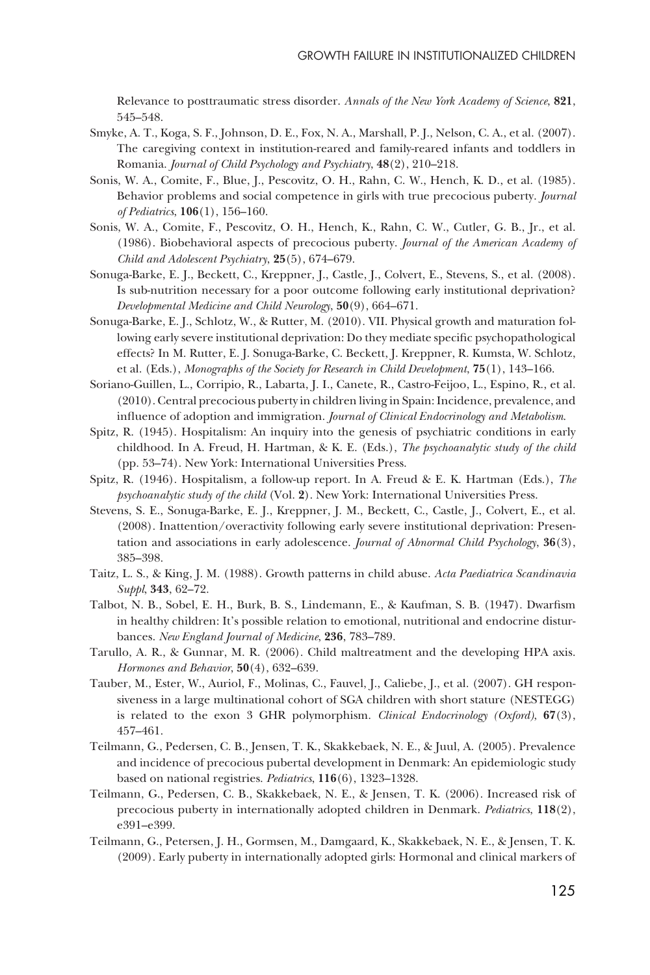Relevance to posttraumatic stress disorder. *Annals of the New York Academy of Science*, **821**, 545–548.

- Smyke, A. T., Koga, S. F., Johnson, D. E., Fox, N. A., Marshall, P. J., Nelson, C. A., et al. (2007). The caregiving context in institution-reared and family-reared infants and toddlers in Romania. *Journal of Child Psychology and Psychiatry*, **48**(2), 210–218.
- Sonis, W. A., Comite, F., Blue, J., Pescovitz, O. H., Rahn, C. W., Hench, K. D., et al. (1985). Behavior problems and social competence in girls with true precocious puberty. *Journal of Pediatrics*, **106**(1), 156–160.
- Sonis, W. A., Comite, F., Pescovitz, O. H., Hench, K., Rahn, C. W., Cutler, G. B., Jr., et al. (1986). Biobehavioral aspects of precocious puberty. *Journal of the American Academy of Child and Adolescent Psychiatry*, **25**(5), 674–679.
- Sonuga-Barke, E. J., Beckett, C., Kreppner, J., Castle, J., Colvert, E., Stevens, S., et al. (2008). Is sub-nutrition necessary for a poor outcome following early institutional deprivation? *Developmental Medicine and Child Neurology*, **50**(9), 664–671.
- Sonuga-Barke, E. J., Schlotz, W., & Rutter, M. (2010). VII. Physical growth and maturation following early severe institutional deprivation: Do they mediate specific psychopathological effects? In M. Rutter, E. J. Sonuga-Barke, C. Beckett, J. Kreppner, R. Kumsta, W. Schlotz, et al. (Eds.), *Monographs of the Society for Research in Child Development*, **75**(1), 143–166.
- Soriano-Guillen, L., Corripio, R., Labarta, J. I., Canete, R., Castro-Feijoo, L., Espino, R., et al. (2010). Central precocious puberty in children living in Spain: Incidence, prevalence, and influence of adoption and immigration. *Journal of Clinical Endocrinology and Metabolism*.
- Spitz, R. (1945). Hospitalism: An inquiry into the genesis of psychiatric conditions in early childhood. In A. Freud, H. Hartman, & K. E. (Eds.), *The psychoanalytic study of the child* (pp. 53–74). New York: International Universities Press.
- Spitz, R. (1946). Hospitalism, a follow-up report. In A. Freud & E. K. Hartman (Eds.), *The psychoanalytic study of the child* (Vol. **2**). New York: International Universities Press.
- Stevens, S. E., Sonuga-Barke, E. J., Kreppner, J. M., Beckett, C., Castle, J., Colvert, E., et al. (2008). Inattention/overactivity following early severe institutional deprivation: Presentation and associations in early adolescence. *Journal of Abnormal Child Psychology*, **36**(3), 385–398.
- Taitz, L. S., & King, J. M. (1988). Growth patterns in child abuse. *Acta Paediatrica Scandinavia Suppl*, **343**, 62–72.
- Talbot, N. B., Sobel, E. H., Burk, B. S., Lindemann, E., & Kaufman, S. B. (1947). Dwarfism in healthy children: It's possible relation to emotional, nutritional and endocrine disturbances. *New England Journal of Medicine*, **236**, 783–789.
- Tarullo, A. R., & Gunnar, M. R. (2006). Child maltreatment and the developing HPA axis. *Hormones and Behavior*, **50**(4), 632–639.
- Tauber, M., Ester, W., Auriol, F., Molinas, C., Fauvel, J., Caliebe, J., et al. (2007). GH responsiveness in a large multinational cohort of SGA children with short stature (NESTEGG) is related to the exon 3 GHR polymorphism. *Clinical Endocrinology (Oxford)*, **67**(3), 457–461.
- Teilmann, G., Pedersen, C. B., Jensen, T. K., Skakkebaek, N. E., & Juul, A. (2005). Prevalence and incidence of precocious pubertal development in Denmark: An epidemiologic study based on national registries. *Pediatrics*, **116**(6), 1323–1328.
- Teilmann, G., Pedersen, C. B., Skakkebaek, N. E., & Jensen, T. K. (2006). Increased risk of precocious puberty in internationally adopted children in Denmark. *Pediatrics*, **118**(2), e391–e399.
- Teilmann, G., Petersen, J. H., Gormsen, M., Damgaard, K., Skakkebaek, N. E., & Jensen, T. K. (2009). Early puberty in internationally adopted girls: Hormonal and clinical markers of